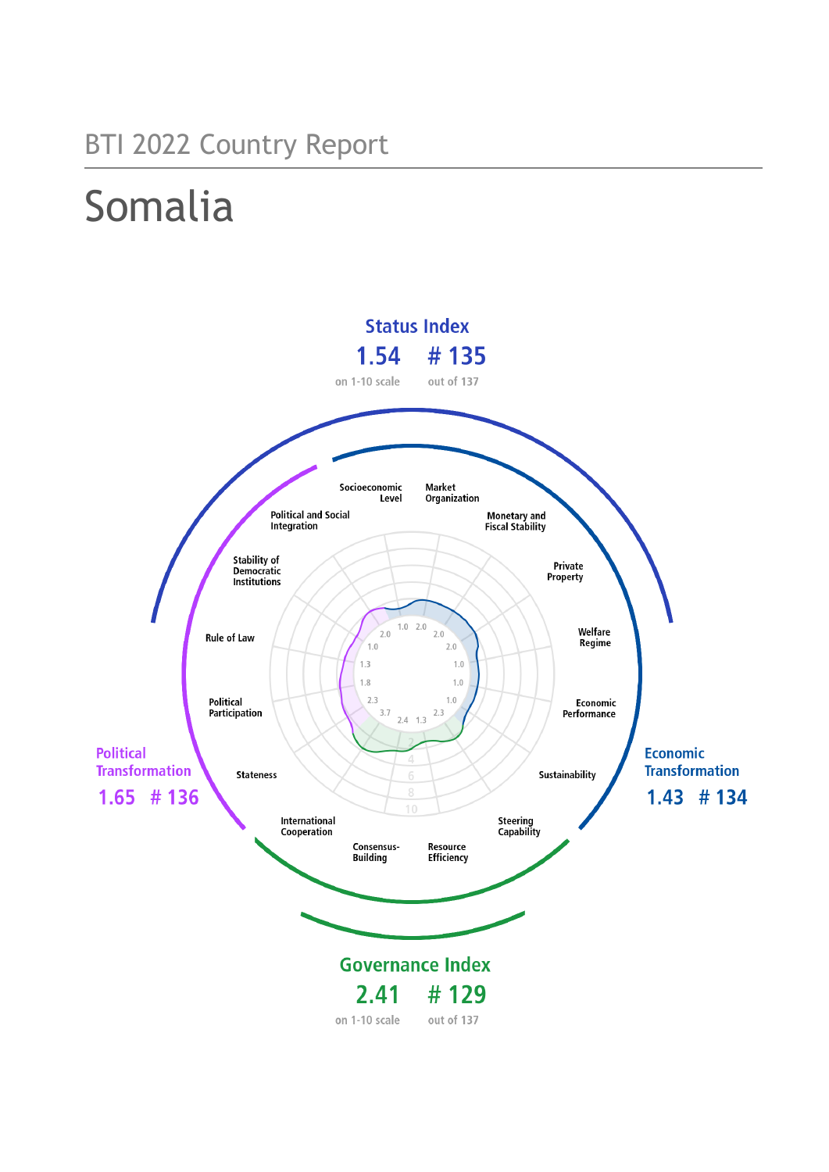# BTI 2022 Country Report

# Somalia

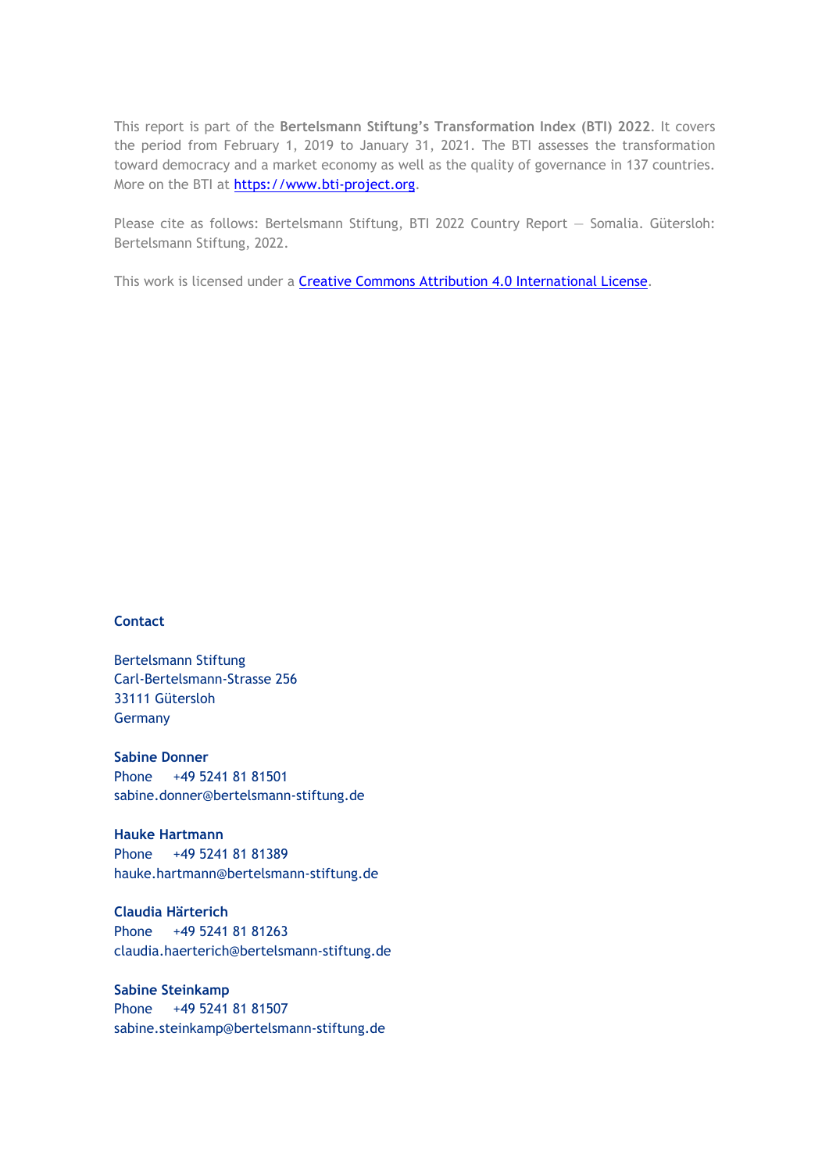This report is part of the **Bertelsmann Stiftung's Transformation Index (BTI) 2022**. It covers the period from February 1, 2019 to January 31, 2021. The BTI assesses the transformation toward democracy and a market economy as well as the quality of governance in 137 countries. More on the BTI at [https://www.bti-project.org.](https://www.bti-project.org/)

Please cite as follows: Bertelsmann Stiftung, BTI 2022 Country Report — Somalia. Gütersloh: Bertelsmann Stiftung, 2022.

This work is licensed under a **Creative Commons Attribution 4.0 International License**.

### **Contact**

Bertelsmann Stiftung Carl-Bertelsmann-Strasse 256 33111 Gütersloh **Germany** 

**Sabine Donner** Phone +49 5241 81 81501 sabine.donner@bertelsmann-stiftung.de

**Hauke Hartmann** Phone +49 5241 81 81389 hauke.hartmann@bertelsmann-stiftung.de

**Claudia Härterich** Phone +49 5241 81 81263 claudia.haerterich@bertelsmann-stiftung.de

### **Sabine Steinkamp** Phone +49 5241 81 81507 sabine.steinkamp@bertelsmann-stiftung.de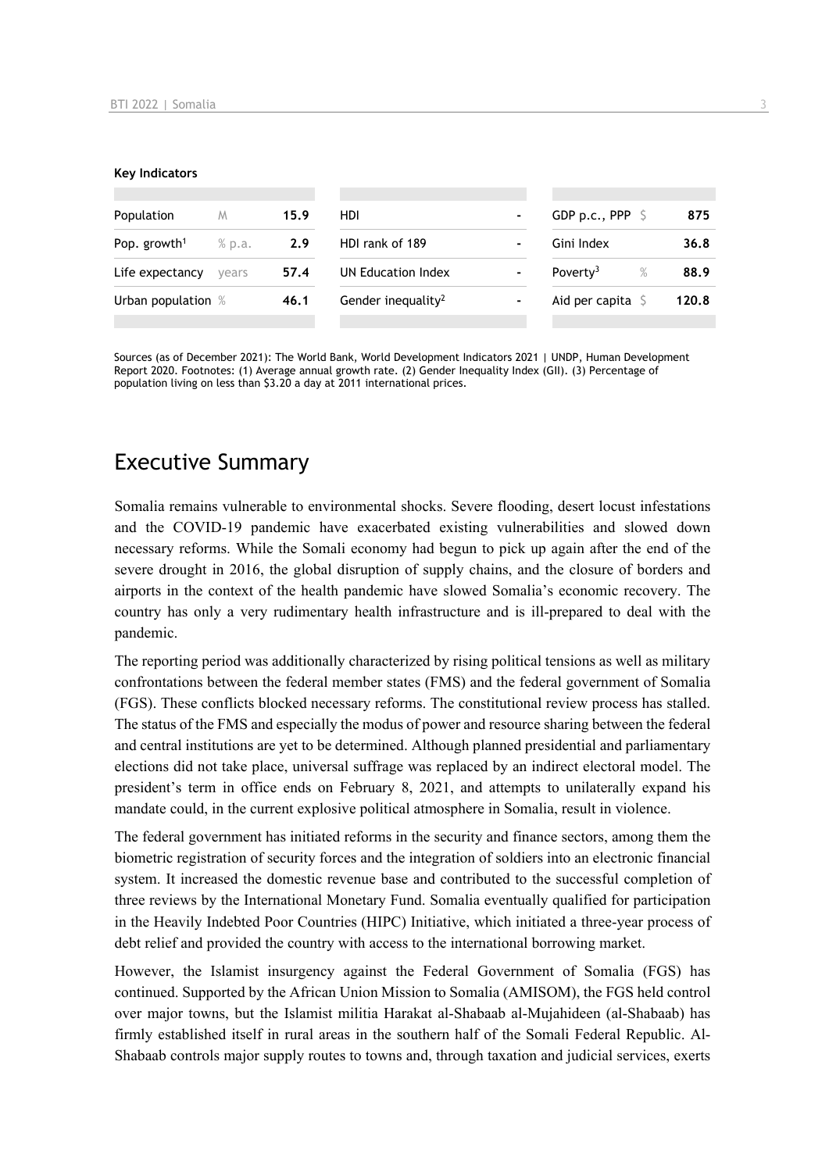#### **Key Indicators**

| Population               | M        | 15.9 | HDI                            | -                            | GDP p.c., PPP $\ S$          | 875   |
|--------------------------|----------|------|--------------------------------|------------------------------|------------------------------|-------|
| Pop. growth <sup>1</sup> | $%$ p.a. | 2.9  | HDI rank of 189                |                              | Gini Index                   | 36.8  |
| Life expectancy          | vears    | 57.4 | UN Education Index             | -                            | $\%$<br>Poverty <sup>3</sup> | 88.9  |
| Urban population %       |          | 46.1 | Gender inequality <sup>2</sup> | $\qquad \qquad \blacksquare$ | Aid per capita               | 120.8 |
|                          |          |      |                                |                              |                              |       |

Sources (as of December 2021): The World Bank, World Development Indicators 2021 | UNDP, Human Development Report 2020. Footnotes: (1) Average annual growth rate. (2) Gender Inequality Index (GII). (3) Percentage of population living on less than \$3.20 a day at 2011 international prices.

# Executive Summary

Somalia remains vulnerable to environmental shocks. Severe flooding, desert locust infestations and the COVID-19 pandemic have exacerbated existing vulnerabilities and slowed down necessary reforms. While the Somali economy had begun to pick up again after the end of the severe drought in 2016, the global disruption of supply chains, and the closure of borders and airports in the context of the health pandemic have slowed Somalia's economic recovery. The country has only a very rudimentary health infrastructure and is ill-prepared to deal with the pandemic.

The reporting period was additionally characterized by rising political tensions as well as military confrontations between the federal member states (FMS) and the federal government of Somalia (FGS). These conflicts blocked necessary reforms. The constitutional review process has stalled. The status of the FMS and especially the modus of power and resource sharing between the federal and central institutions are yet to be determined. Although planned presidential and parliamentary elections did not take place, universal suffrage was replaced by an indirect electoral model. The president's term in office ends on February 8, 2021, and attempts to unilaterally expand his mandate could, in the current explosive political atmosphere in Somalia, result in violence.

The federal government has initiated reforms in the security and finance sectors, among them the biometric registration of security forces and the integration of soldiers into an electronic financial system. It increased the domestic revenue base and contributed to the successful completion of three reviews by the International Monetary Fund. Somalia eventually qualified for participation in the Heavily Indebted Poor Countries (HIPC) Initiative, which initiated a three-year process of debt relief and provided the country with access to the international borrowing market.

However, the Islamist insurgency against the Federal Government of Somalia (FGS) has continued. Supported by the African Union Mission to Somalia (AMISOM), the FGS held control over major towns, but the Islamist militia Harakat al-Shabaab al-Mujahideen (al-Shabaab) has firmly established itself in rural areas in the southern half of the Somali Federal Republic. Al-Shabaab controls major supply routes to towns and, through taxation and judicial services, exerts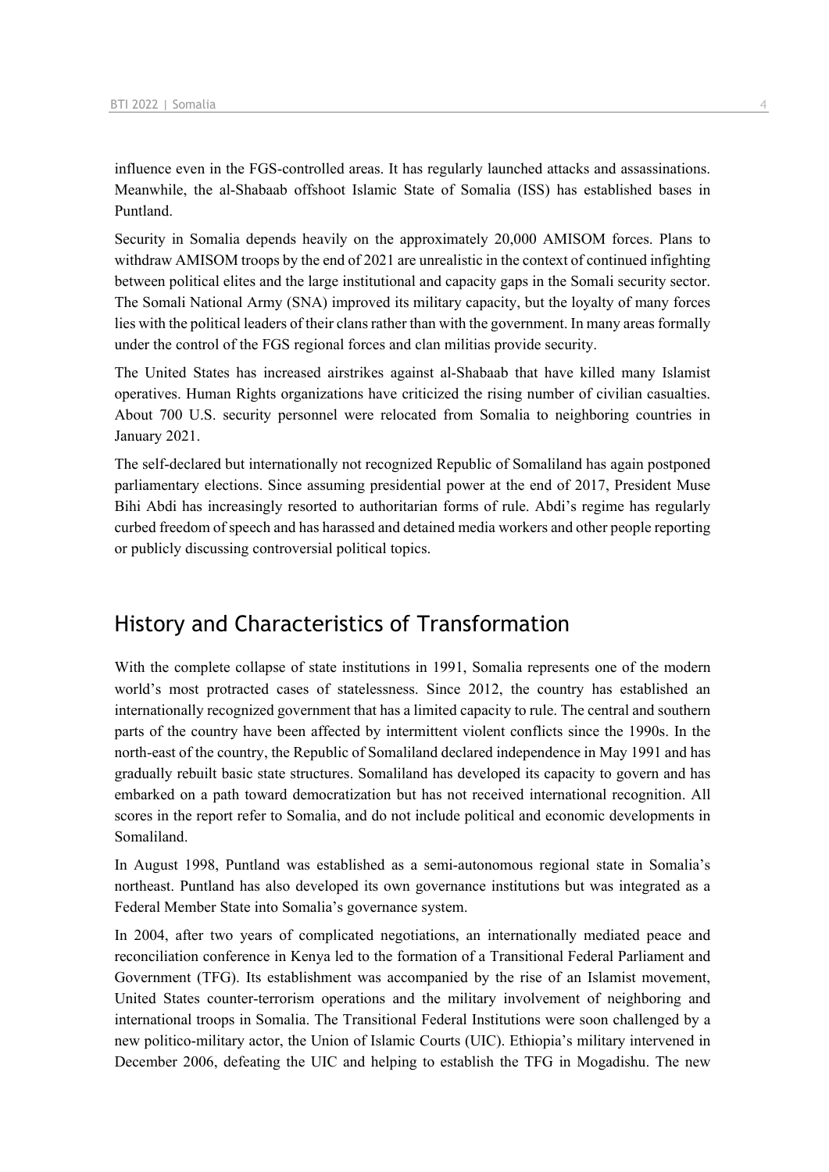influence even in the FGS-controlled areas. It has regularly launched attacks and assassinations. Meanwhile, the al-Shabaab offshoot Islamic State of Somalia (ISS) has established bases in Puntland.

Security in Somalia depends heavily on the approximately 20,000 AMISOM forces. Plans to withdraw AMISOM troops by the end of 2021 are unrealistic in the context of continued infighting between political elites and the large institutional and capacity gaps in the Somali security sector. The Somali National Army (SNA) improved its military capacity, but the loyalty of many forces lies with the political leaders of their clans rather than with the government. In many areas formally under the control of the FGS regional forces and clan militias provide security.

The United States has increased airstrikes against al-Shabaab that have killed many Islamist operatives. Human Rights organizations have criticized the rising number of civilian casualties. About 700 U.S. security personnel were relocated from Somalia to neighboring countries in January 2021.

The self-declared but internationally not recognized Republic of Somaliland has again postponed parliamentary elections. Since assuming presidential power at the end of 2017, President Muse Bihi Abdi has increasingly resorted to authoritarian forms of rule. Abdi's regime has regularly curbed freedom of speech and has harassed and detained media workers and other people reporting or publicly discussing controversial political topics.

# History and Characteristics of Transformation

With the complete collapse of state institutions in 1991, Somalia represents one of the modern world's most protracted cases of statelessness. Since 2012, the country has established an internationally recognized government that has a limited capacity to rule. The central and southern parts of the country have been affected by intermittent violent conflicts since the 1990s. In the north-east of the country, the Republic of Somaliland declared independence in May 1991 and has gradually rebuilt basic state structures. Somaliland has developed its capacity to govern and has embarked on a path toward democratization but has not received international recognition. All scores in the report refer to Somalia, and do not include political and economic developments in Somaliland.

In August 1998, Puntland was established as a semi-autonomous regional state in Somalia's northeast. Puntland has also developed its own governance institutions but was integrated as a Federal Member State into Somalia's governance system.

In 2004, after two years of complicated negotiations, an internationally mediated peace and reconciliation conference in Kenya led to the formation of a Transitional Federal Parliament and Government (TFG). Its establishment was accompanied by the rise of an Islamist movement, United States counter-terrorism operations and the military involvement of neighboring and international troops in Somalia. The Transitional Federal Institutions were soon challenged by a new politico-military actor, the Union of Islamic Courts (UIC). Ethiopia's military intervened in December 2006, defeating the UIC and helping to establish the TFG in Mogadishu. The new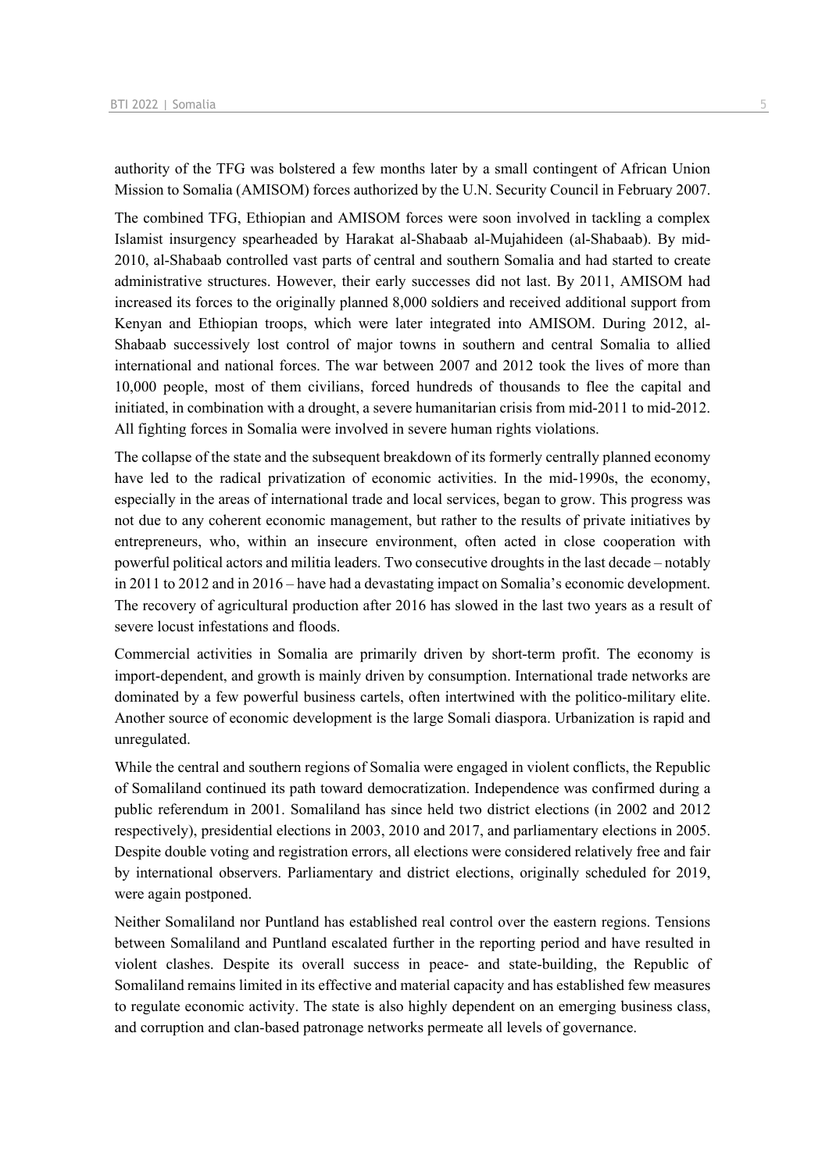authority of the TFG was bolstered a few months later by a small contingent of African Union Mission to Somalia (AMISOM) forces authorized by the U.N. Security Council in February 2007.

The combined TFG, Ethiopian and AMISOM forces were soon involved in tackling a complex Islamist insurgency spearheaded by Harakat al-Shabaab al-Mujahideen (al-Shabaab). By mid-2010, al-Shabaab controlled vast parts of central and southern Somalia and had started to create administrative structures. However, their early successes did not last. By 2011, AMISOM had increased its forces to the originally planned 8,000 soldiers and received additional support from Kenyan and Ethiopian troops, which were later integrated into AMISOM. During 2012, al-Shabaab successively lost control of major towns in southern and central Somalia to allied international and national forces. The war between 2007 and 2012 took the lives of more than 10,000 people, most of them civilians, forced hundreds of thousands to flee the capital and initiated, in combination with a drought, a severe humanitarian crisis from mid-2011 to mid-2012. All fighting forces in Somalia were involved in severe human rights violations.

The collapse of the state and the subsequent breakdown of its formerly centrally planned economy have led to the radical privatization of economic activities. In the mid-1990s, the economy, especially in the areas of international trade and local services, began to grow. This progress was not due to any coherent economic management, but rather to the results of private initiatives by entrepreneurs, who, within an insecure environment, often acted in close cooperation with powerful political actors and militia leaders. Two consecutive droughts in the last decade – notably in 2011 to 2012 and in 2016 – have had a devastating impact on Somalia's economic development. The recovery of agricultural production after 2016 has slowed in the last two years as a result of severe locust infestations and floods.

Commercial activities in Somalia are primarily driven by short-term profit. The economy is import-dependent, and growth is mainly driven by consumption. International trade networks are dominated by a few powerful business cartels, often intertwined with the politico-military elite. Another source of economic development is the large Somali diaspora. Urbanization is rapid and unregulated.

While the central and southern regions of Somalia were engaged in violent conflicts, the Republic of Somaliland continued its path toward democratization. Independence was confirmed during a public referendum in 2001. Somaliland has since held two district elections (in 2002 and 2012 respectively), presidential elections in 2003, 2010 and 2017, and parliamentary elections in 2005. Despite double voting and registration errors, all elections were considered relatively free and fair by international observers. Parliamentary and district elections, originally scheduled for 2019, were again postponed.

Neither Somaliland nor Puntland has established real control over the eastern regions. Tensions between Somaliland and Puntland escalated further in the reporting period and have resulted in violent clashes. Despite its overall success in peace- and state-building, the Republic of Somaliland remains limited in its effective and material capacity and has established few measures to regulate economic activity. The state is also highly dependent on an emerging business class, and corruption and clan-based patronage networks permeate all levels of governance.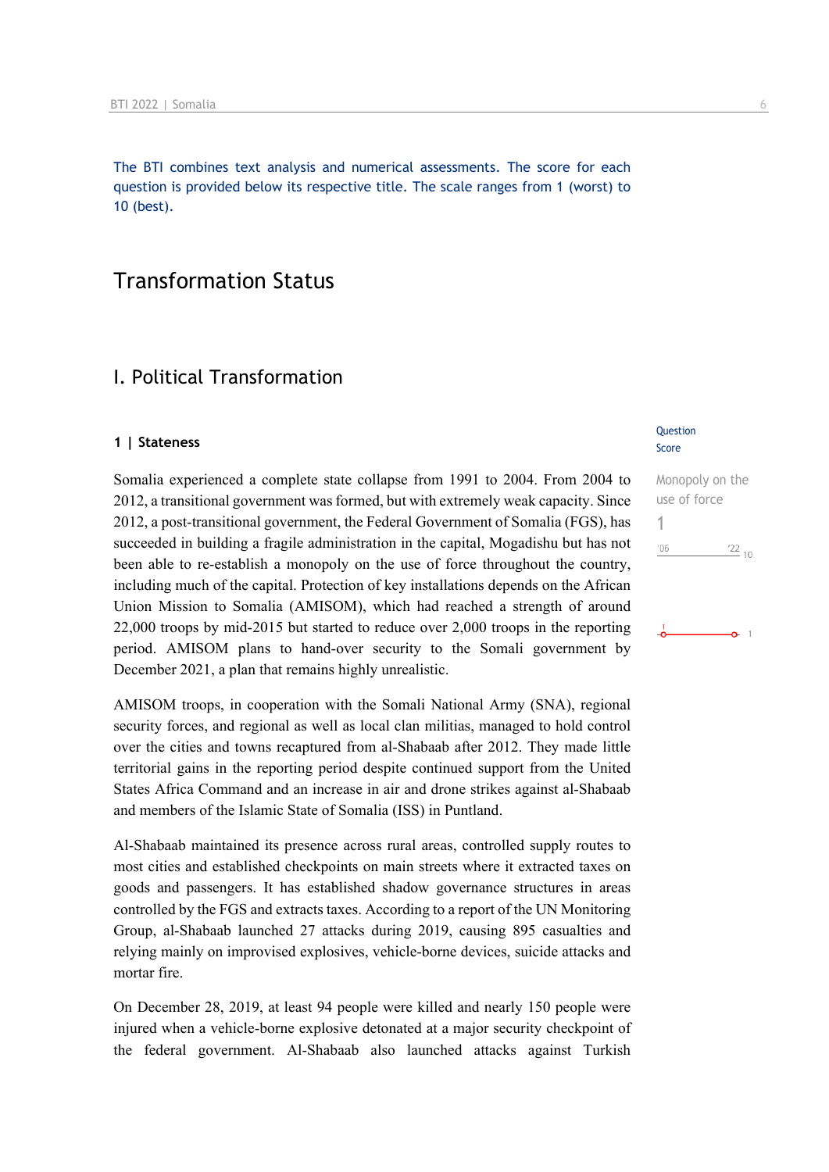The BTI combines text analysis and numerical assessments. The score for each question is provided below its respective title. The scale ranges from 1 (worst) to 10 (best).

# Transformation Status

## I. Political Transformation

### **1 | Stateness**

Somalia experienced a complete state collapse from 1991 to 2004. From 2004 to 2012, a transitional government was formed, but with extremely weak capacity. Since 2012, a post-transitional government, the Federal Government of Somalia (FGS), has succeeded in building a fragile administration in the capital, Mogadishu but has not been able to re-establish a monopoly on the use of force throughout the country, including much of the capital. Protection of key installations depends on the African Union Mission to Somalia (AMISOM), which had reached a strength of around 22,000 troops by mid-2015 but started to reduce over 2,000 troops in the reporting period. AMISOM plans to hand-over security to the Somali government by December 2021, a plan that remains highly unrealistic.

AMISOM troops, in cooperation with the Somali National Army (SNA), regional security forces, and regional as well as local clan militias, managed to hold control over the cities and towns recaptured from al-Shabaab after 2012. They made little territorial gains in the reporting period despite continued support from the United States Africa Command and an increase in air and drone strikes against al-Shabaab and members of the Islamic State of Somalia (ISS) in Puntland.

Al-Shabaab maintained its presence across rural areas, controlled supply routes to most cities and established checkpoints on main streets where it extracted taxes on goods and passengers. It has established shadow governance structures in areas controlled by the FGS and extracts taxes. According to a report of the UN Monitoring Group, al-Shabaab launched 27 attacks during 2019, causing 895 casualties and relying mainly on improvised explosives, vehicle-borne devices, suicide attacks and mortar fire.

On December 28, 2019, at least 94 people were killed and nearly 150 people were injured when a vehicle-borne explosive detonated at a major security checkpoint of the federal government. Al-Shabaab also launched attacks against Turkish

### Question Score

Monopoly on the use of force 1 $\frac{22}{10}$  $106$ 

 $\Omega$  1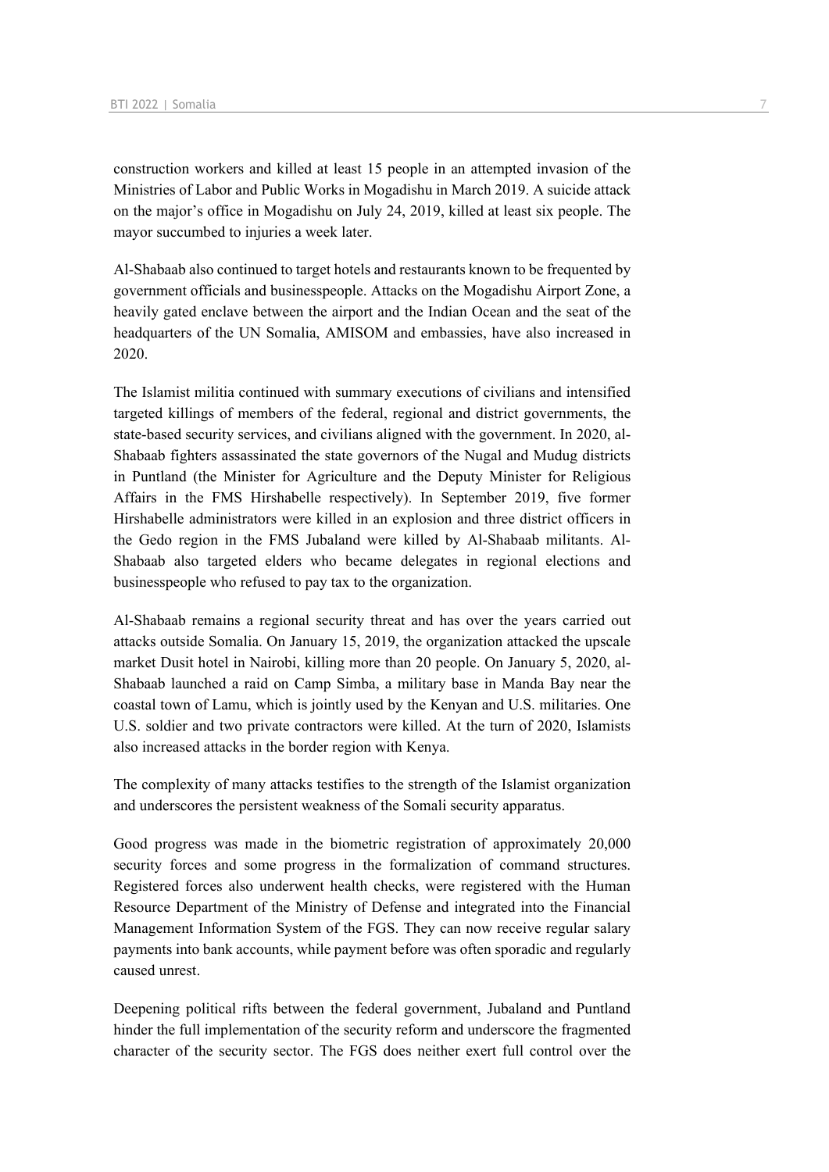construction workers and killed at least 15 people in an attempted invasion of the Ministries of Labor and Public Works in Mogadishu in March 2019. A suicide attack on the major's office in Mogadishu on July 24, 2019, killed at least six people. The mayor succumbed to injuries a week later.

Al-Shabaab also continued to target hotels and restaurants known to be frequented by government officials and businesspeople. Attacks on the Mogadishu Airport Zone, a heavily gated enclave between the airport and the Indian Ocean and the seat of the headquarters of the UN Somalia, AMISOM and embassies, have also increased in 2020.

The Islamist militia continued with summary executions of civilians and intensified targeted killings of members of the federal, regional and district governments, the state-based security services, and civilians aligned with the government. In 2020, al-Shabaab fighters assassinated the state governors of the Nugal and Mudug districts in Puntland (the Minister for Agriculture and the Deputy Minister for Religious Affairs in the FMS Hirshabelle respectively). In September 2019, five former Hirshabelle administrators were killed in an explosion and three district officers in the Gedo region in the FMS Jubaland were killed by Al-Shabaab militants. Al-Shabaab also targeted elders who became delegates in regional elections and businesspeople who refused to pay tax to the organization.

Al-Shabaab remains a regional security threat and has over the years carried out attacks outside Somalia. On January 15, 2019, the organization attacked the upscale market Dusit hotel in Nairobi, killing more than 20 people. On January 5, 2020, al-Shabaab launched a raid on Camp Simba, a military base in Manda Bay near the coastal town of Lamu, which is jointly used by the Kenyan and U.S. militaries. One U.S. soldier and two private contractors were killed. At the turn of 2020, Islamists also increased attacks in the border region with Kenya.

The complexity of many attacks testifies to the strength of the Islamist organization and underscores the persistent weakness of the Somali security apparatus.

Good progress was made in the biometric registration of approximately 20,000 security forces and some progress in the formalization of command structures. Registered forces also underwent health checks, were registered with the Human Resource Department of the Ministry of Defense and integrated into the Financial Management Information System of the FGS. They can now receive regular salary payments into bank accounts, while payment before was often sporadic and regularly caused unrest.

Deepening political rifts between the federal government, Jubaland and Puntland hinder the full implementation of the security reform and underscore the fragmented character of the security sector. The FGS does neither exert full control over the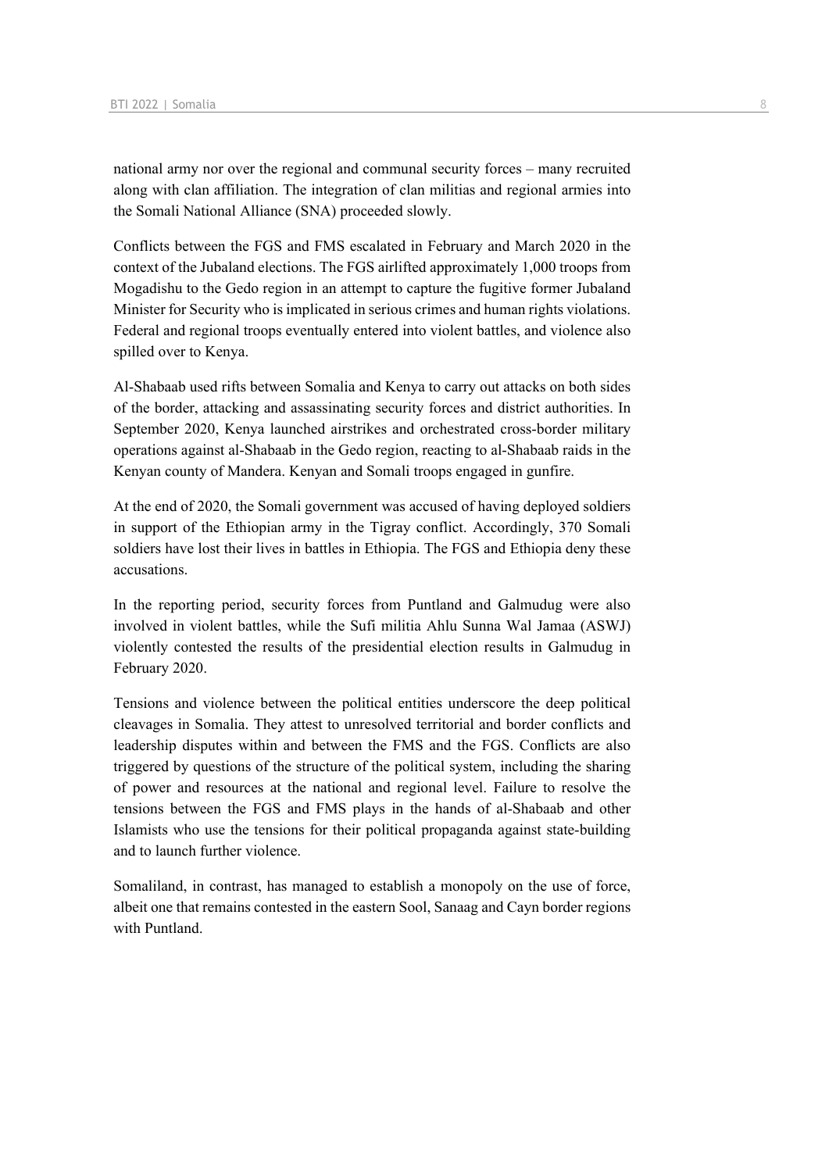national army nor over the regional and communal security forces – many recruited along with clan affiliation. The integration of clan militias and regional armies into the Somali National Alliance (SNA) proceeded slowly.

Conflicts between the FGS and FMS escalated in February and March 2020 in the context of the Jubaland elections. The FGS airlifted approximately 1,000 troops from Mogadishu to the Gedo region in an attempt to capture the fugitive former Jubaland Minister for Security who is implicated in serious crimes and human rights violations. Federal and regional troops eventually entered into violent battles, and violence also spilled over to Kenya.

Al-Shabaab used rifts between Somalia and Kenya to carry out attacks on both sides of the border, attacking and assassinating security forces and district authorities. In September 2020, Kenya launched airstrikes and orchestrated cross-border military operations against al-Shabaab in the Gedo region, reacting to al-Shabaab raids in the Kenyan county of Mandera. Kenyan and Somali troops engaged in gunfire.

At the end of 2020, the Somali government was accused of having deployed soldiers in support of the Ethiopian army in the Tigray conflict. Accordingly, 370 Somali soldiers have lost their lives in battles in Ethiopia. The FGS and Ethiopia deny these accusations.

In the reporting period, security forces from Puntland and Galmudug were also involved in violent battles, while the Sufi militia Ahlu Sunna Wal Jamaa (ASWJ) violently contested the results of the presidential election results in Galmudug in February 2020.

Tensions and violence between the political entities underscore the deep political cleavages in Somalia. They attest to unresolved territorial and border conflicts and leadership disputes within and between the FMS and the FGS. Conflicts are also triggered by questions of the structure of the political system, including the sharing of power and resources at the national and regional level. Failure to resolve the tensions between the FGS and FMS plays in the hands of al-Shabaab and other Islamists who use the tensions for their political propaganda against state-building and to launch further violence.

Somaliland, in contrast, has managed to establish a monopoly on the use of force, albeit one that remains contested in the eastern Sool, Sanaag and Cayn border regions with Puntland.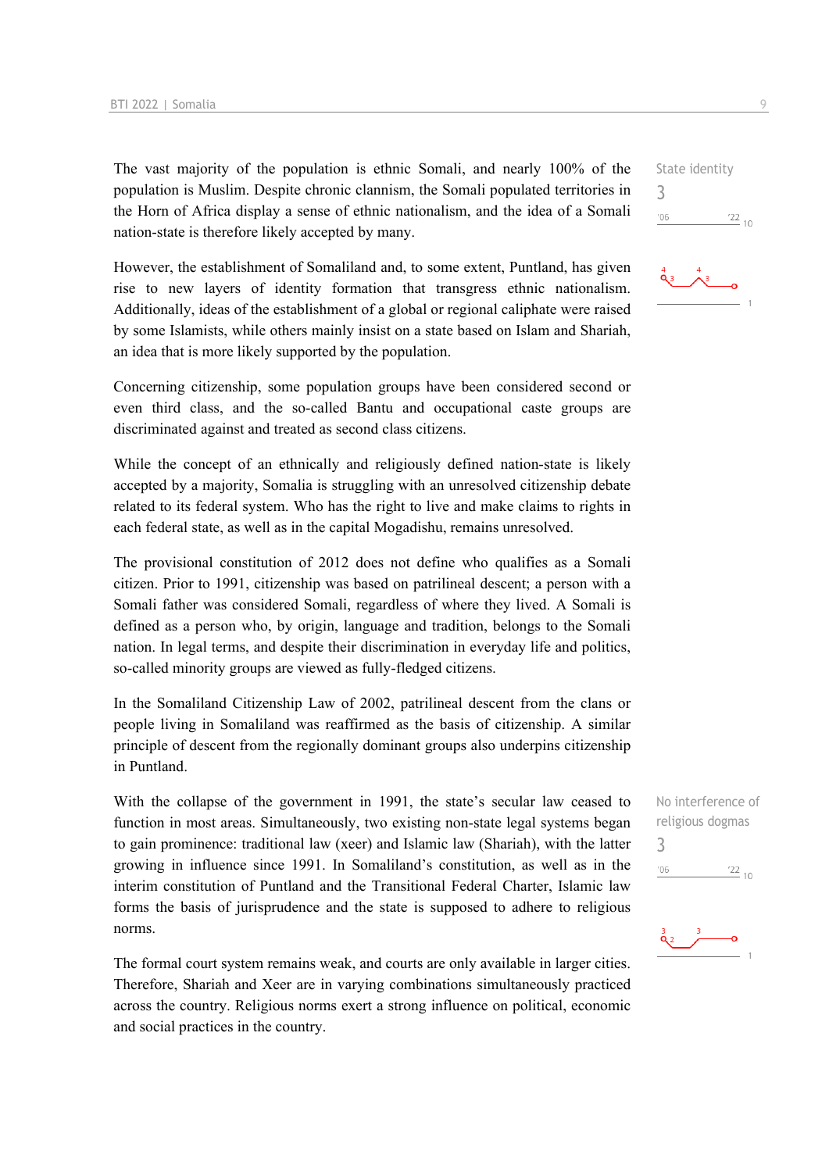The vast majority of the population is ethnic Somali, and nearly 100% of the population is Muslim. Despite chronic clannism, the Somali populated territories in the Horn of Africa display a sense of ethnic nationalism, and the idea of a Somali nation-state is therefore likely accepted by many.

However, the establishment of Somaliland and, to some extent, Puntland, has given rise to new layers of identity formation that transgress ethnic nationalism. Additionally, ideas of the establishment of a global or regional caliphate were raised by some Islamists, while others mainly insist on a state based on Islam and Shariah, an idea that is more likely supported by the population.

Concerning citizenship, some population groups have been considered second or even third class, and the so-called Bantu and occupational caste groups are discriminated against and treated as second class citizens.

While the concept of an ethnically and religiously defined nation-state is likely accepted by a majority, Somalia is struggling with an unresolved citizenship debate related to its federal system. Who has the right to live and make claims to rights in each federal state, as well as in the capital Mogadishu, remains unresolved.

The provisional constitution of 2012 does not define who qualifies as a Somali citizen. Prior to 1991, citizenship was based on patrilineal descent; a person with a Somali father was considered Somali, regardless of where they lived. A Somali is defined as a person who, by origin, language and tradition, belongs to the Somali nation. In legal terms, and despite their discrimination in everyday life and politics, so-called minority groups are viewed as fully-fledged citizens.

In the Somaliland Citizenship Law of 2002, patrilineal descent from the clans or people living in Somaliland was reaffirmed as the basis of citizenship. A similar principle of descent from the regionally dominant groups also underpins citizenship in Puntland.

With the collapse of the government in 1991, the state's secular law ceased to function in most areas. Simultaneously, two existing non-state legal systems began to gain prominence: traditional law (xeer) and Islamic law (Shariah), with the latter growing in influence since 1991. In Somaliland's constitution, as well as in the interim constitution of Puntland and the Transitional Federal Charter, Islamic law forms the basis of jurisprudence and the state is supposed to adhere to religious norms.

The formal court system remains weak, and courts are only available in larger cities. Therefore, Shariah and Xeer are in varying combinations simultaneously practiced across the country. Religious norms exert a strong influence on political, economic and social practices in the country.

State identity 3  $06'$  $\frac{22}{10}$ 



No interference of religious dogmas 3 $'06$  $\frac{22}{10}$ 

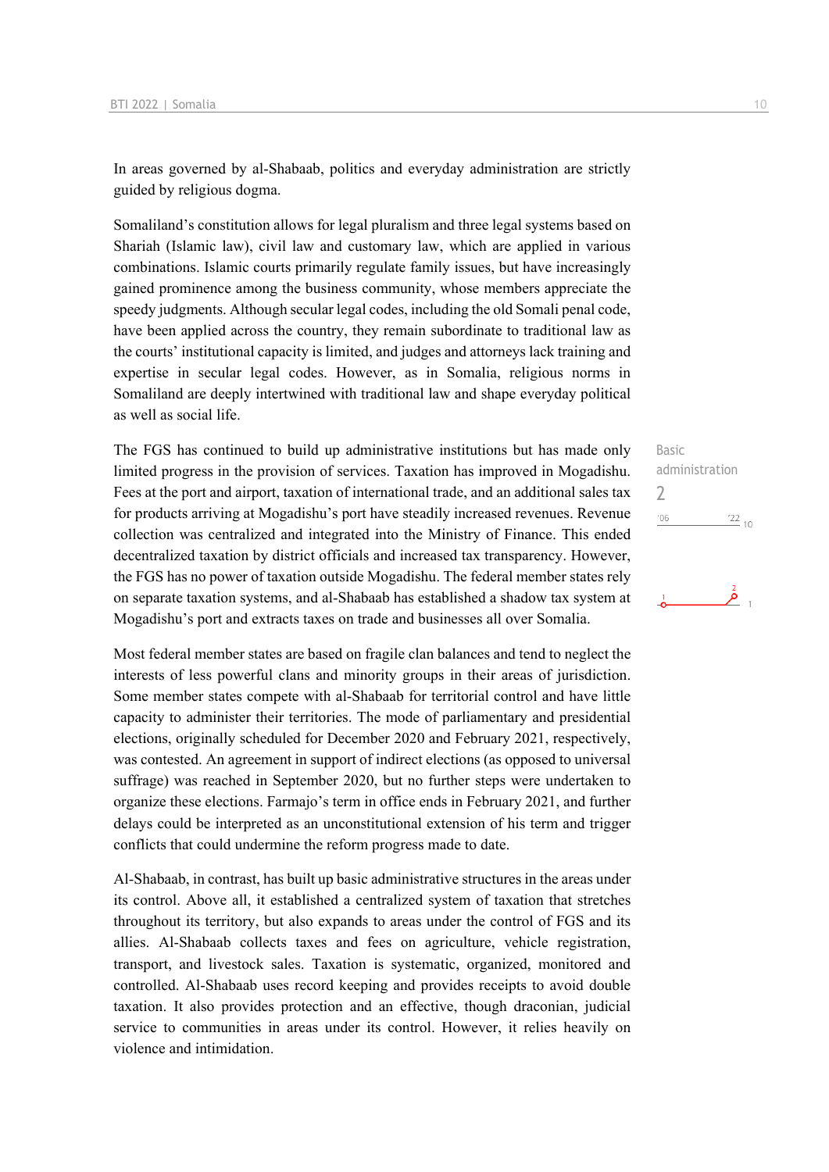In areas governed by al-Shabaab, politics and everyday administration are strictly guided by religious dogma.

Somaliland's constitution allows for legal pluralism and three legal systems based on Shariah (Islamic law), civil law and customary law, which are applied in various combinations. Islamic courts primarily regulate family issues, but have increasingly gained prominence among the business community, whose members appreciate the speedy judgments. Although secular legal codes, including the old Somali penal code, have been applied across the country, they remain subordinate to traditional law as the courts' institutional capacity is limited, and judges and attorneys lack training and expertise in secular legal codes. However, as in Somalia, religious norms in Somaliland are deeply intertwined with traditional law and shape everyday political as well as social life.

The FGS has continued to build up administrative institutions but has made only limited progress in the provision of services. Taxation has improved in Mogadishu. Fees at the port and airport, taxation of international trade, and an additional sales tax for products arriving at Mogadishu's port have steadily increased revenues. Revenue collection was centralized and integrated into the Ministry of Finance. This ended decentralized taxation by district officials and increased tax transparency. However, the FGS has no power of taxation outside Mogadishu. The federal member states rely on separate taxation systems, and al-Shabaab has established a shadow tax system at Mogadishu's port and extracts taxes on trade and businesses all over Somalia.

Most federal member states are based on fragile clan balances and tend to neglect the interests of less powerful clans and minority groups in their areas of jurisdiction. Some member states compete with al-Shabaab for territorial control and have little capacity to administer their territories. The mode of parliamentary and presidential elections, originally scheduled for December 2020 and February 2021, respectively, was contested. An agreement in support of indirect elections (as opposed to universal suffrage) was reached in September 2020, but no further steps were undertaken to organize these elections. Farmajo's term in office ends in February 2021, and further delays could be interpreted as an unconstitutional extension of his term and trigger conflicts that could undermine the reform progress made to date.

Al-Shabaab, in contrast, has built up basic administrative structures in the areas under its control. Above all, it established a centralized system of taxation that stretches throughout its territory, but also expands to areas under the control of FGS and its allies. Al-Shabaab collects taxes and fees on agriculture, vehicle registration, transport, and livestock sales. Taxation is systematic, organized, monitored and controlled. Al-Shabaab uses record keeping and provides receipts to avoid double taxation. It also provides protection and an effective, though draconian, judicial service to communities in areas under its control. However, it relies heavily on violence and intimidation.

| $\frac{22}{10}$<br>'06 |  |
|------------------------|--|
|                        |  |
| administration         |  |
| <b>Basic</b>           |  |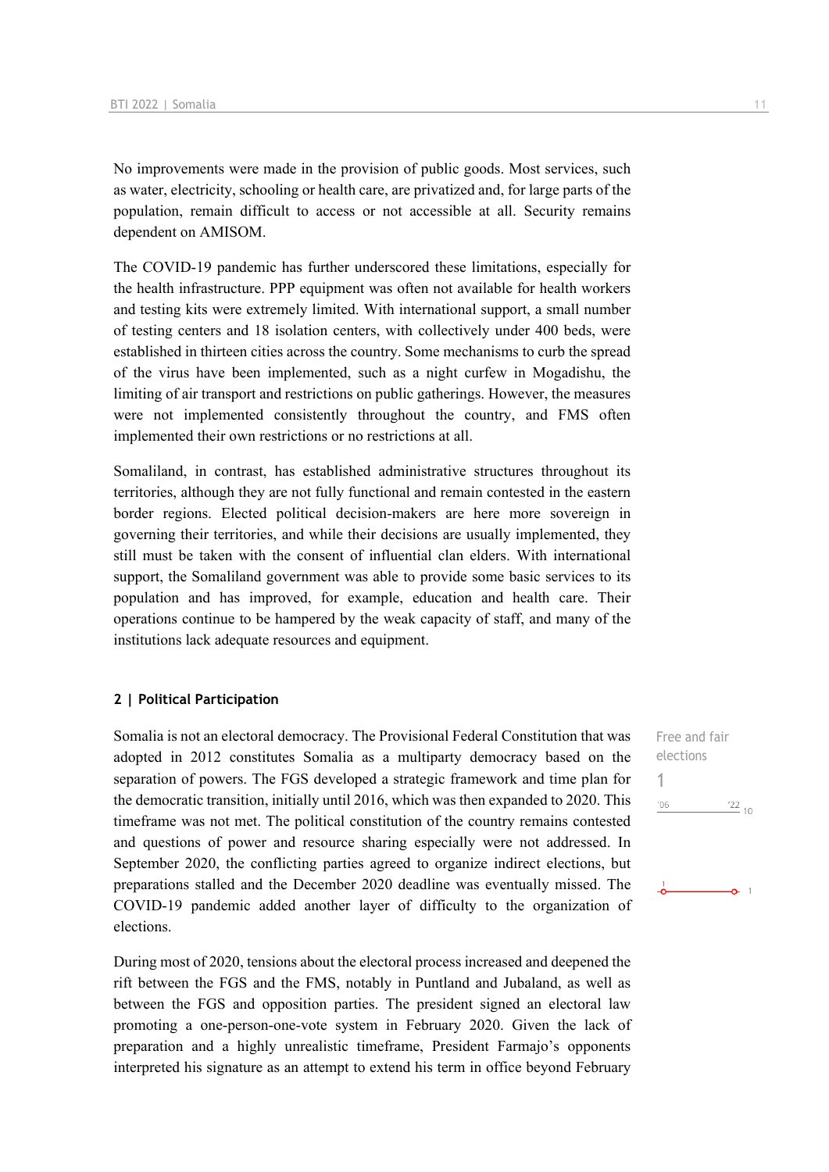No improvements were made in the provision of public goods. Most services, such as water, electricity, schooling or health care, are privatized and, for large parts of the population, remain difficult to access or not accessible at all. Security remains dependent on AMISOM.

The COVID-19 pandemic has further underscored these limitations, especially for the health infrastructure. PPP equipment was often not available for health workers and testing kits were extremely limited. With international support, a small number of testing centers and 18 isolation centers, with collectively under 400 beds, were established in thirteen cities across the country. Some mechanisms to curb the spread of the virus have been implemented, such as a night curfew in Mogadishu, the limiting of air transport and restrictions on public gatherings. However, the measures were not implemented consistently throughout the country, and FMS often implemented their own restrictions or no restrictions at all.

Somaliland, in contrast, has established administrative structures throughout its territories, although they are not fully functional and remain contested in the eastern border regions. Elected political decision-makers are here more sovereign in governing their territories, and while their decisions are usually implemented, they still must be taken with the consent of influential clan elders. With international support, the Somaliland government was able to provide some basic services to its population and has improved, for example, education and health care. Their operations continue to be hampered by the weak capacity of staff, and many of the institutions lack adequate resources and equipment.

### **2 | Political Participation**

Somalia is not an electoral democracy. The Provisional Federal Constitution that was adopted in 2012 constitutes Somalia as a multiparty democracy based on the separation of powers. The FGS developed a strategic framework and time plan for the democratic transition, initially until 2016, which was then expanded to 2020. This timeframe was not met. The political constitution of the country remains contested and questions of power and resource sharing especially were not addressed. In September 2020, the conflicting parties agreed to organize indirect elections, but preparations stalled and the December 2020 deadline was eventually missed. The COVID-19 pandemic added another layer of difficulty to the organization of elections.

During most of 2020, tensions about the electoral process increased and deepened the rift between the FGS and the FMS, notably in Puntland and Jubaland, as well as between the FGS and opposition parties. The president signed an electoral law promoting a one-person-one-vote system in February 2020. Given the lack of preparation and a highly unrealistic timeframe, President Farmajo's opponents interpreted his signature as an attempt to extend his term in office beyond February

Free and fair elections 1 $-06$  $^{22}_{-10}$ 

 $-0$  1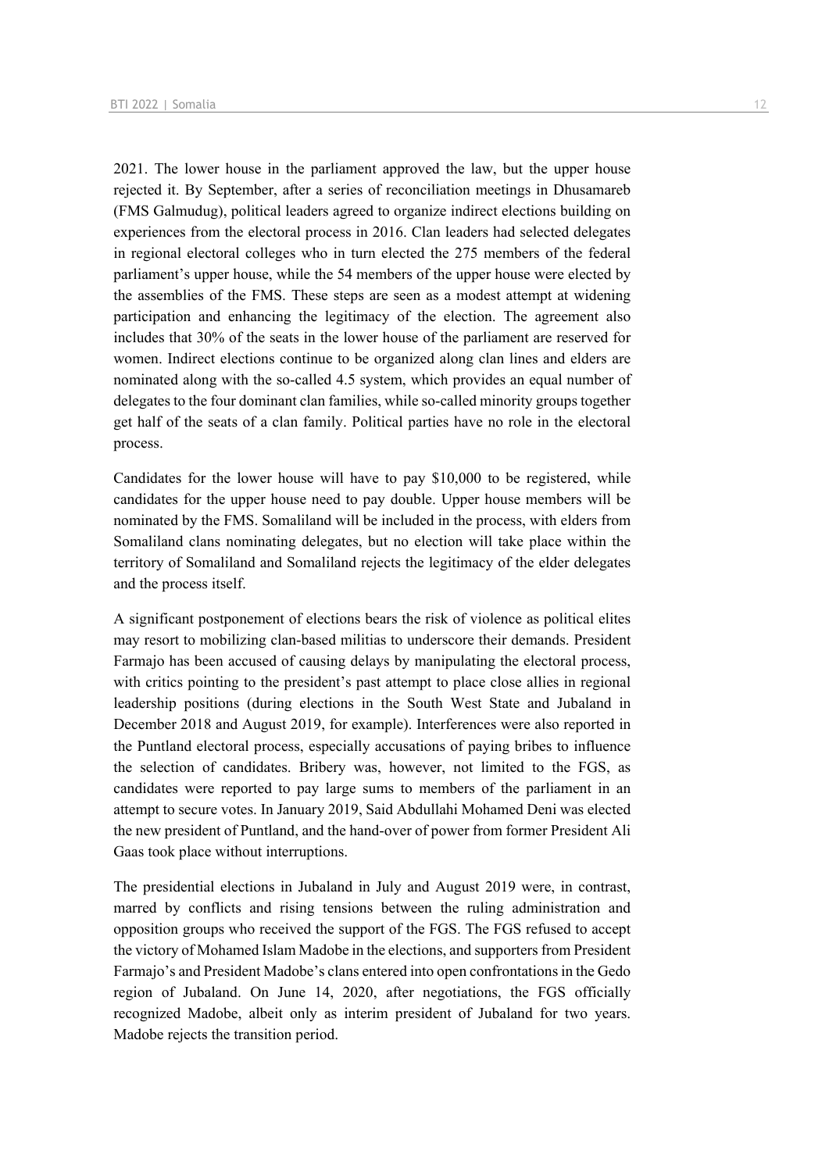2021. The lower house in the parliament approved the law, but the upper house rejected it. By September, after a series of reconciliation meetings in Dhusamareb (FMS Galmudug), political leaders agreed to organize indirect elections building on experiences from the electoral process in 2016. Clan leaders had selected delegates in regional electoral colleges who in turn elected the 275 members of the federal parliament's upper house, while the 54 members of the upper house were elected by the assemblies of the FMS. These steps are seen as a modest attempt at widening participation and enhancing the legitimacy of the election. The agreement also includes that 30% of the seats in the lower house of the parliament are reserved for women. Indirect elections continue to be organized along clan lines and elders are nominated along with the so-called 4.5 system, which provides an equal number of delegates to the four dominant clan families, while so-called minority groups together get half of the seats of a clan family. Political parties have no role in the electoral process.

Candidates for the lower house will have to pay \$10,000 to be registered, while candidates for the upper house need to pay double. Upper house members will be nominated by the FMS. Somaliland will be included in the process, with elders from Somaliland clans nominating delegates, but no election will take place within the territory of Somaliland and Somaliland rejects the legitimacy of the elder delegates and the process itself.

A significant postponement of elections bears the risk of violence as political elites may resort to mobilizing clan-based militias to underscore their demands. President Farmajo has been accused of causing delays by manipulating the electoral process, with critics pointing to the president's past attempt to place close allies in regional leadership positions (during elections in the South West State and Jubaland in December 2018 and August 2019, for example). Interferences were also reported in the Puntland electoral process, especially accusations of paying bribes to influence the selection of candidates. Bribery was, however, not limited to the FGS, as candidates were reported to pay large sums to members of the parliament in an attempt to secure votes. In January 2019, Said Abdullahi Mohamed Deni was elected the new president of Puntland, and the hand-over of power from former President Ali Gaas took place without interruptions.

The presidential elections in Jubaland in July and August 2019 were, in contrast, marred by conflicts and rising tensions between the ruling administration and opposition groups who received the support of the FGS. The FGS refused to accept the victory of Mohamed Islam Madobe in the elections, and supporters from President Farmajo's and President Madobe's clans entered into open confrontations in the Gedo region of Jubaland. On June 14, 2020, after negotiations, the FGS officially recognized Madobe, albeit only as interim president of Jubaland for two years. Madobe rejects the transition period.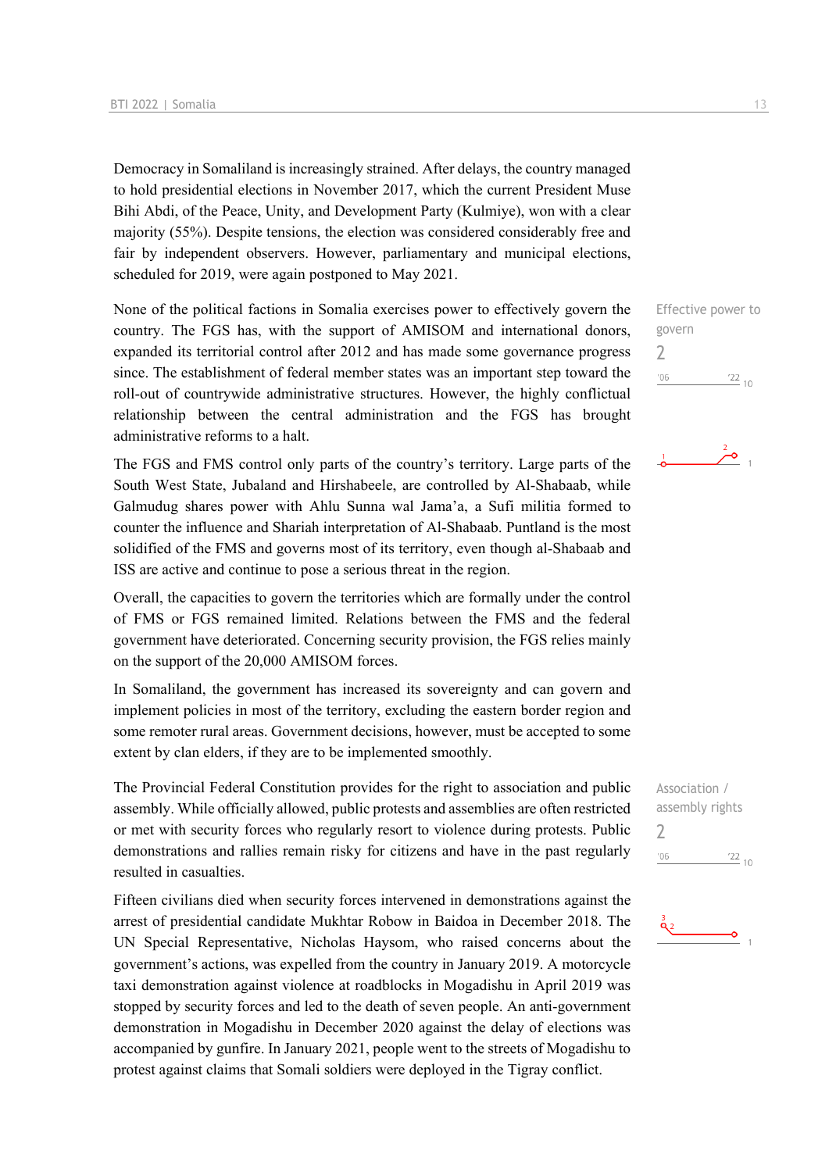Democracy in Somaliland is increasingly strained. After delays, the country managed to hold presidential elections in November 2017, which the current President Muse Bihi Abdi, of the Peace, Unity, and Development Party (Kulmiye), won with a clear majority (55%). Despite tensions, the election was considered considerably free and fair by independent observers. However, parliamentary and municipal elections, scheduled for 2019, were again postponed to May 2021.

None of the political factions in Somalia exercises power to effectively govern the country. The FGS has, with the support of AMISOM and international donors, expanded its territorial control after 2012 and has made some governance progress since. The establishment of federal member states was an important step toward the roll-out of countrywide administrative structures. However, the highly conflictual relationship between the central administration and the FGS has brought administrative reforms to a halt.

The FGS and FMS control only parts of the country's territory. Large parts of the South West State, Jubaland and Hirshabeele, are controlled by Al-Shabaab, while Galmudug shares power with Ahlu Sunna wal Jama'a, a Sufi militia formed to counter the influence and Shariah interpretation of Al-Shabaab. Puntland is the most solidified of the FMS and governs most of its territory, even though al-Shabaab and ISS are active and continue to pose a serious threat in the region.

Overall, the capacities to govern the territories which are formally under the control of FMS or FGS remained limited. Relations between the FMS and the federal government have deteriorated. Concerning security provision, the FGS relies mainly on the support of the 20,000 AMISOM forces.

In Somaliland, the government has increased its sovereignty and can govern and implement policies in most of the territory, excluding the eastern border region and some remoter rural areas. Government decisions, however, must be accepted to some extent by clan elders, if they are to be implemented smoothly.

The Provincial Federal Constitution provides for the right to association and public assembly. While officially allowed, public protests and assemblies are often restricted or met with security forces who regularly resort to violence during protests. Public demonstrations and rallies remain risky for citizens and have in the past regularly resulted in casualties.

Fifteen civilians died when security forces intervened in demonstrations against the arrest of presidential candidate Mukhtar Robow in Baidoa in December 2018. The UN Special Representative, Nicholas Haysom, who raised concerns about the government's actions, was expelled from the country in January 2019. A motorcycle taxi demonstration against violence at roadblocks in Mogadishu in April 2019 was stopped by security forces and led to the death of seven people. An anti-government demonstration in Mogadishu in December 2020 against the delay of elections was accompanied by gunfire. In January 2021, people went to the streets of Mogadishu to protest against claims that Somali soldiers were deployed in the Tigray conflict.

Effective power to govern 2  $-06$  $122_{10}$ 





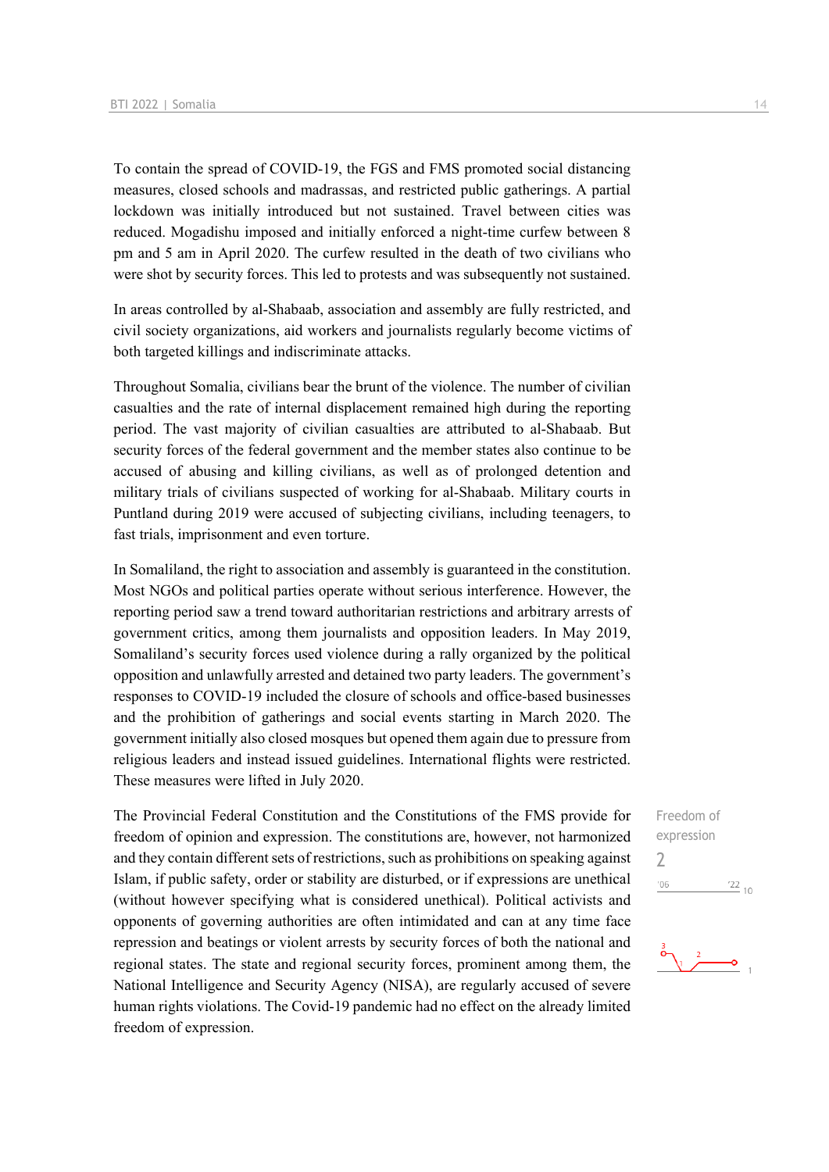To contain the spread of COVID-19, the FGS and FMS promoted social distancing measures, closed schools and madrassas, and restricted public gatherings. A partial lockdown was initially introduced but not sustained. Travel between cities was reduced. Mogadishu imposed and initially enforced a night-time curfew between 8 pm and 5 am in April 2020. The curfew resulted in the death of two civilians who were shot by security forces. This led to protests and was subsequently not sustained.

In areas controlled by al-Shabaab, association and assembly are fully restricted, and civil society organizations, aid workers and journalists regularly become victims of both targeted killings and indiscriminate attacks.

Throughout Somalia, civilians bear the brunt of the violence. The number of civilian casualties and the rate of internal displacement remained high during the reporting period. The vast majority of civilian casualties are attributed to al-Shabaab. But security forces of the federal government and the member states also continue to be accused of abusing and killing civilians, as well as of prolonged detention and military trials of civilians suspected of working for al-Shabaab. Military courts in Puntland during 2019 were accused of subjecting civilians, including teenagers, to fast trials, imprisonment and even torture.

In Somaliland, the right to association and assembly is guaranteed in the constitution. Most NGOs and political parties operate without serious interference. However, the reporting period saw a trend toward authoritarian restrictions and arbitrary arrests of government critics, among them journalists and opposition leaders. In May 2019, Somaliland's security forces used violence during a rally organized by the political opposition and unlawfully arrested and detained two party leaders. The government's responses to COVID-19 included the closure of schools and office-based businesses and the prohibition of gatherings and social events starting in March 2020. The government initially also closed mosques but opened them again due to pressure from religious leaders and instead issued guidelines. International flights were restricted. These measures were lifted in July 2020.

The Provincial Federal Constitution and the Constitutions of the FMS provide for freedom of opinion and expression. The constitutions are, however, not harmonized and they contain different sets of restrictions, such as prohibitions on speaking against Islam, if public safety, order or stability are disturbed, or if expressions are unethical (without however specifying what is considered unethical). Political activists and opponents of governing authorities are often intimidated and can at any time face repression and beatings or violent arrests by security forces of both the national and regional states. The state and regional security forces, prominent among them, the National Intelligence and Security Agency (NISA), are regularly accused of severe human rights violations. The Covid-19 pandemic had no effect on the already limited freedom of expression.

Freedom of expression  $\overline{\phantom{0}}$  $\frac{22}{10}$  $06'$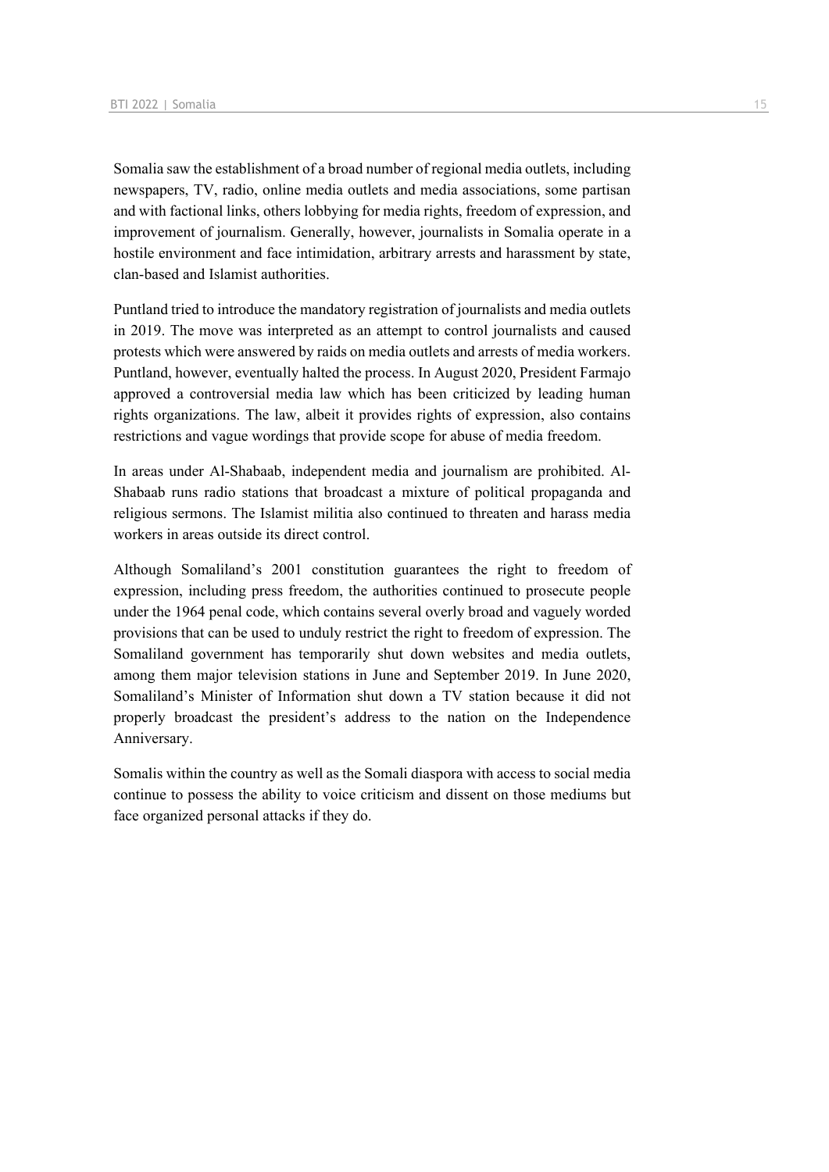Somalia saw the establishment of a broad number of regional media outlets, including newspapers, TV, radio, online media outlets and media associations, some partisan and with factional links, others lobbying for media rights, freedom of expression, and improvement of journalism. Generally, however, journalists in Somalia operate in a hostile environment and face intimidation, arbitrary arrests and harassment by state, clan-based and Islamist authorities.

Puntland tried to introduce the mandatory registration of journalists and media outlets in 2019. The move was interpreted as an attempt to control journalists and caused protests which were answered by raids on media outlets and arrests of media workers. Puntland, however, eventually halted the process. In August 2020, President Farmajo approved a controversial media law which has been criticized by leading human rights organizations. The law, albeit it provides rights of expression, also contains restrictions and vague wordings that provide scope for abuse of media freedom.

In areas under Al-Shabaab, independent media and journalism are prohibited. Al-Shabaab runs radio stations that broadcast a mixture of political propaganda and religious sermons. The Islamist militia also continued to threaten and harass media workers in areas outside its direct control.

Although Somaliland's 2001 constitution guarantees the right to freedom of expression, including press freedom, the authorities continued to prosecute people under the 1964 penal code, which contains several overly broad and vaguely worded provisions that can be used to unduly restrict the right to freedom of expression. The Somaliland government has temporarily shut down websites and media outlets, among them major television stations in June and September 2019. In June 2020, Somaliland's Minister of Information shut down a TV station because it did not properly broadcast the president's address to the nation on the Independence Anniversary.

Somalis within the country as well as the Somali diaspora with access to social media continue to possess the ability to voice criticism and dissent on those mediums but face organized personal attacks if they do.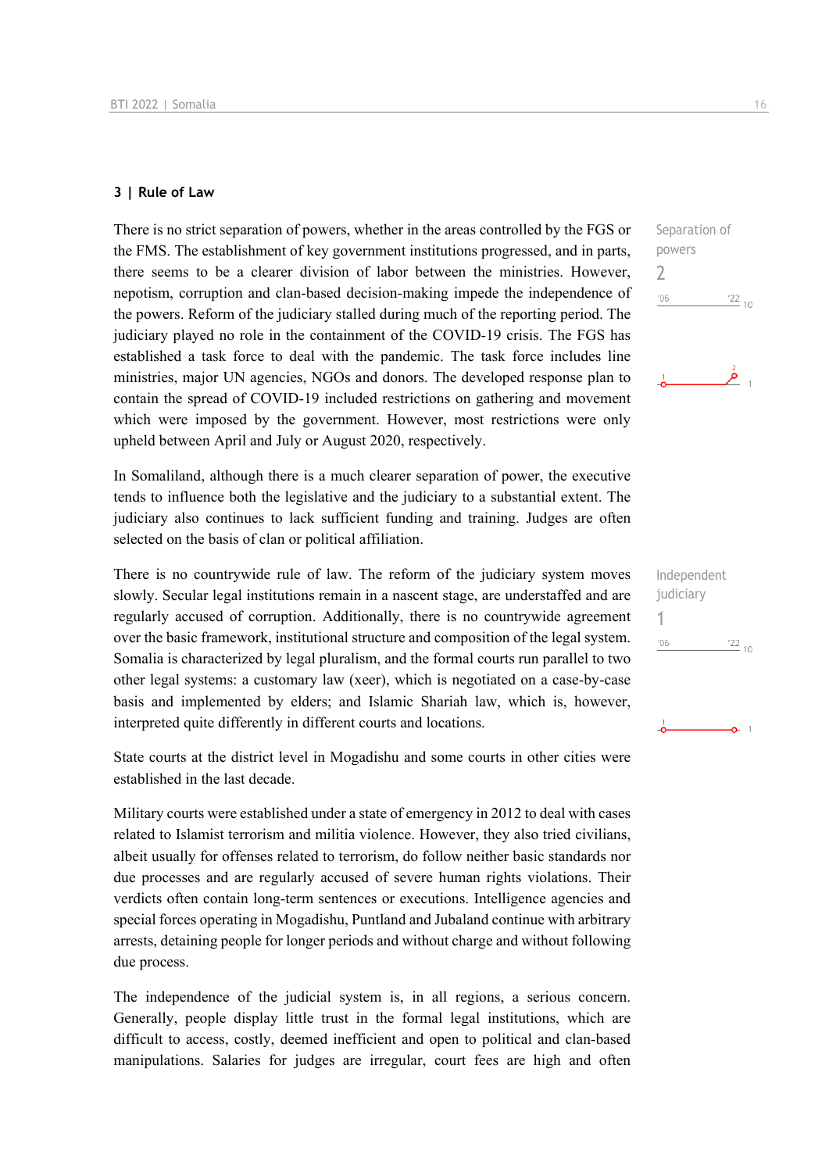### **3 | Rule of Law**

There is no strict separation of powers, whether in the areas controlled by the FGS or the FMS. The establishment of key government institutions progressed, and in parts, there seems to be a clearer division of labor between the ministries. However, nepotism, corruption and clan-based decision-making impede the independence of the powers. Reform of the judiciary stalled during much of the reporting period. The judiciary played no role in the containment of the COVID-19 crisis. The FGS has established a task force to deal with the pandemic. The task force includes line ministries, major UN agencies, NGOs and donors. The developed response plan to contain the spread of COVID-19 included restrictions on gathering and movement which were imposed by the government. However, most restrictions were only upheld between April and July or August 2020, respectively.

In Somaliland, although there is a much clearer separation of power, the executive tends to influence both the legislative and the judiciary to a substantial extent. The judiciary also continues to lack sufficient funding and training. Judges are often selected on the basis of clan or political affiliation.

There is no countrywide rule of law. The reform of the judiciary system moves slowly. Secular legal institutions remain in a nascent stage, are understaffed and are regularly accused of corruption. Additionally, there is no countrywide agreement over the basic framework, institutional structure and composition of the legal system. Somalia is characterized by legal pluralism, and the formal courts run parallel to two other legal systems: a customary law (xeer), which is negotiated on a case-by-case basis and implemented by elders; and Islamic Shariah law, which is, however, interpreted quite differently in different courts and locations.

State courts at the district level in Mogadishu and some courts in other cities were established in the last decade.

Military courts were established under a state of emergency in 2012 to deal with cases related to Islamist terrorism and militia violence. However, they also tried civilians, albeit usually for offenses related to terrorism, do follow neither basic standards nor due processes and are regularly accused of severe human rights violations. Their verdicts often contain long-term sentences or executions. Intelligence agencies and special forces operating in Mogadishu, Puntland and Jubaland continue with arbitrary arrests, detaining people for longer periods and without charge and without following due process.

The independence of the judicial system is, in all regions, a serious concern. Generally, people display little trust in the formal legal institutions, which are difficult to access, costly, deemed inefficient and open to political and clan-based manipulations. Salaries for judges are irregular, court fees are high and often



| Independent |                 |  |
|-------------|-----------------|--|
| judiciary   |                 |  |
| 1           |                 |  |
| '06         | $\frac{22}{10}$ |  |
|             |                 |  |
|             |                 |  |
|             |                 |  |
|             |                 |  |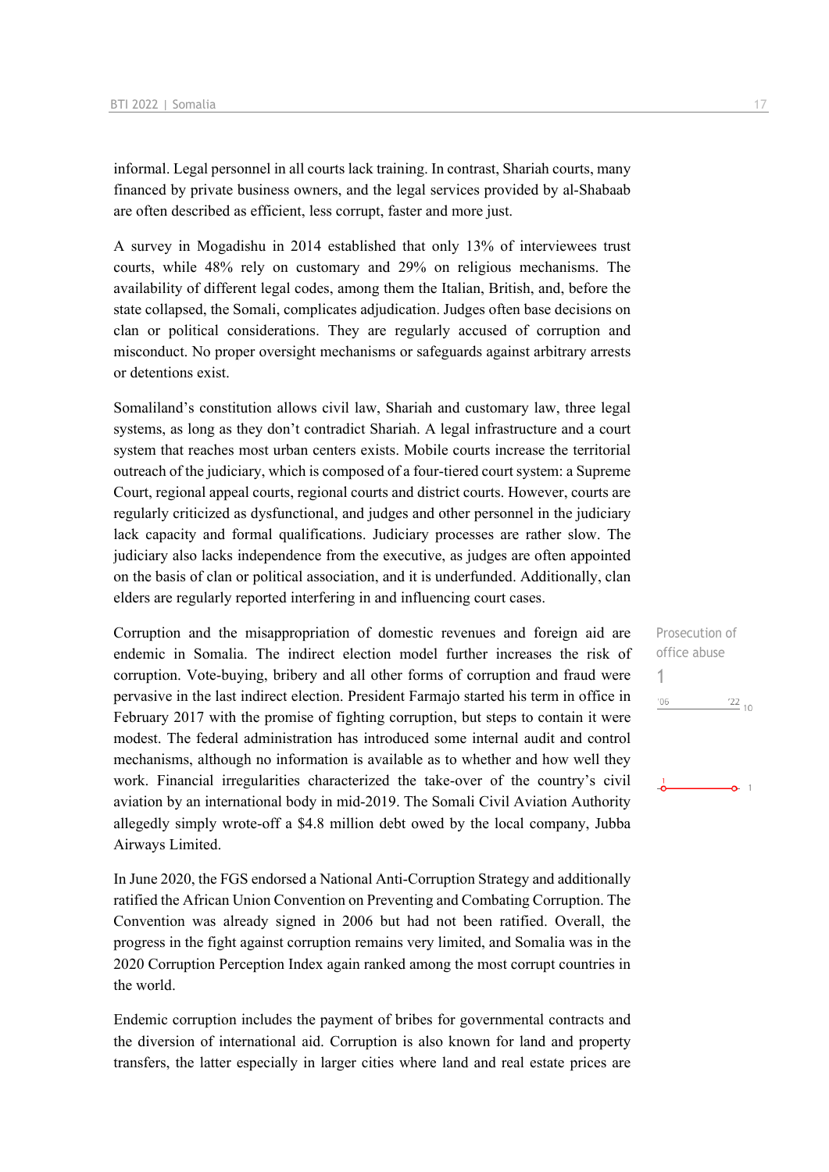informal. Legal personnel in all courts lack training. In contrast, Shariah courts, many financed by private business owners, and the legal services provided by al-Shabaab are often described as efficient, less corrupt, faster and more just.

A survey in Mogadishu in 2014 established that only 13% of interviewees trust courts, while 48% rely on customary and 29% on religious mechanisms. The availability of different legal codes, among them the Italian, British, and, before the state collapsed, the Somali, complicates adjudication. Judges often base decisions on clan or political considerations. They are regularly accused of corruption and misconduct. No proper oversight mechanisms or safeguards against arbitrary arrests or detentions exist.

Somaliland's constitution allows civil law, Shariah and customary law, three legal systems, as long as they don't contradict Shariah. A legal infrastructure and a court system that reaches most urban centers exists. Mobile courts increase the territorial outreach of the judiciary, which is composed of a four-tiered court system: a Supreme Court, regional appeal courts, regional courts and district courts. However, courts are regularly criticized as dysfunctional, and judges and other personnel in the judiciary lack capacity and formal qualifications. Judiciary processes are rather slow. The judiciary also lacks independence from the executive, as judges are often appointed on the basis of clan or political association, and it is underfunded. Additionally, clan elders are regularly reported interfering in and influencing court cases.

Corruption and the misappropriation of domestic revenues and foreign aid are endemic in Somalia. The indirect election model further increases the risk of corruption. Vote-buying, bribery and all other forms of corruption and fraud were pervasive in the last indirect election. President Farmajo started his term in office in February 2017 with the promise of fighting corruption, but steps to contain it were modest. The federal administration has introduced some internal audit and control mechanisms, although no information is available as to whether and how well they work. Financial irregularities characterized the take-over of the country's civil aviation by an international body in mid-2019. The Somali Civil Aviation Authority allegedly simply wrote-off a \$4.8 million debt owed by the local company, Jubba Airways Limited.

In June 2020, the FGS endorsed a National Anti-Corruption Strategy and additionally ratified the African Union Convention on Preventing and Combating Corruption. The Convention was already signed in 2006 but had not been ratified. Overall, the progress in the fight against corruption remains very limited, and Somalia was in the 2020 Corruption Perception Index again ranked among the most corrupt countries in the world.

Endemic corruption includes the payment of bribes for governmental contracts and the diversion of international aid. Corruption is also known for land and property transfers, the latter especially in larger cities where land and real estate prices are

Prosecution of office abuse 1 $'06$  $^{22}_{-10}$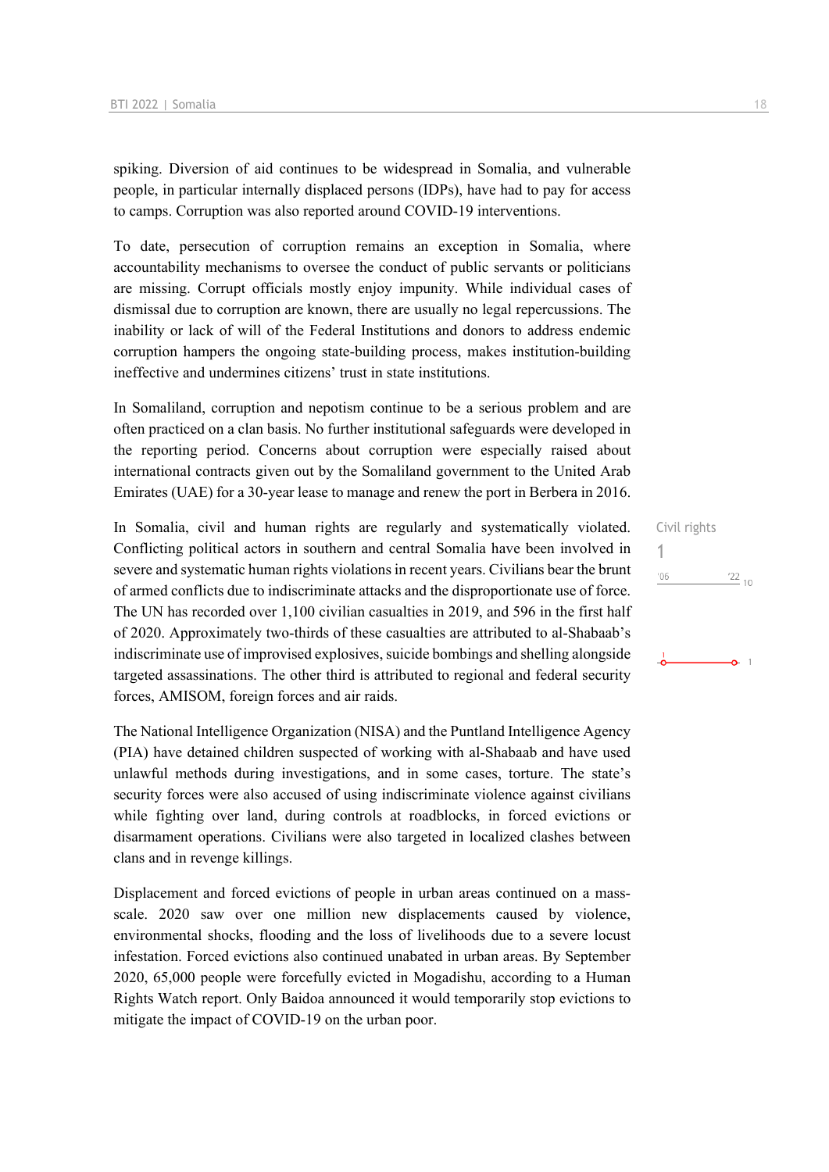spiking. Diversion of aid continues to be widespread in Somalia, and vulnerable people, in particular internally displaced persons (IDPs), have had to pay for access to camps. Corruption was also reported around COVID-19 interventions.

To date, persecution of corruption remains an exception in Somalia, where accountability mechanisms to oversee the conduct of public servants or politicians are missing. Corrupt officials mostly enjoy impunity. While individual cases of dismissal due to corruption are known, there are usually no legal repercussions. The inability or lack of will of the Federal Institutions and donors to address endemic corruption hampers the ongoing state-building process, makes institution-building ineffective and undermines citizens' trust in state institutions.

In Somaliland, corruption and nepotism continue to be a serious problem and are often practiced on a clan basis. No further institutional safeguards were developed in the reporting period. Concerns about corruption were especially raised about international contracts given out by the Somaliland government to the United Arab Emirates (UAE) for a 30-year lease to manage and renew the port in Berbera in 2016.

In Somalia, civil and human rights are regularly and systematically violated. Conflicting political actors in southern and central Somalia have been involved in severe and systematic human rights violations in recent years. Civilians bear the brunt of armed conflicts due to indiscriminate attacks and the disproportionate use of force. The UN has recorded over 1,100 civilian casualties in 2019, and 596 in the first half of 2020. Approximately two-thirds of these casualties are attributed to al-Shabaab's indiscriminate use of improvised explosives, suicide bombings and shelling alongside targeted assassinations. The other third is attributed to regional and federal security forces, AMISOM, foreign forces and air raids.

The National Intelligence Organization (NISA) and the Puntland Intelligence Agency (PIA) have detained children suspected of working with al-Shabaab and have used unlawful methods during investigations, and in some cases, torture. The state's security forces were also accused of using indiscriminate violence against civilians while fighting over land, during controls at roadblocks, in forced evictions or disarmament operations. Civilians were also targeted in localized clashes between clans and in revenge killings.

Displacement and forced evictions of people in urban areas continued on a massscale. 2020 saw over one million new displacements caused by violence, environmental shocks, flooding and the loss of livelihoods due to a severe locust infestation. Forced evictions also continued unabated in urban areas. By September 2020, 65,000 people were forcefully evicted in Mogadishu, according to a Human Rights Watch report. Only Baidoa announced it would temporarily stop evictions to mitigate the impact of COVID-19 on the urban poor.

Civil rights 1 $^{\prime}06$  $\frac{22}{10}$ 

 $\bullet$  1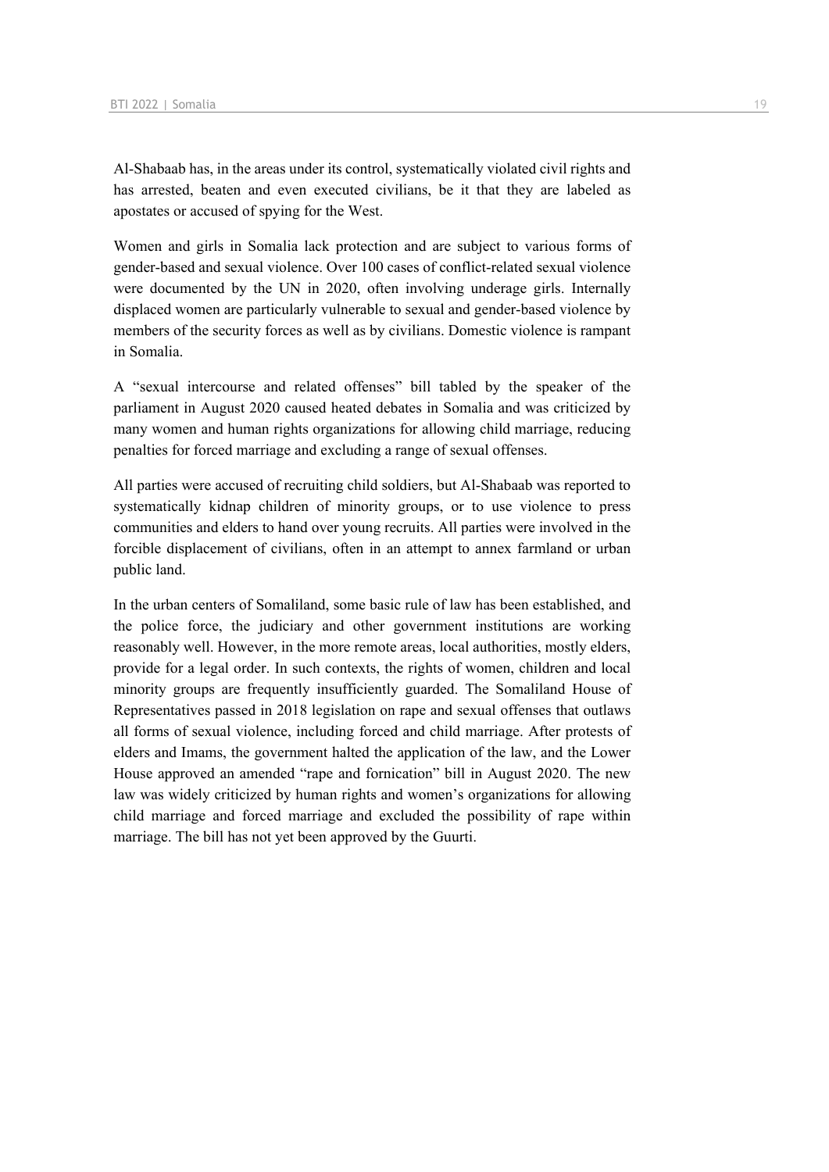Al-Shabaab has, in the areas under its control, systematically violated civil rights and has arrested, beaten and even executed civilians, be it that they are labeled as apostates or accused of spying for the West.

Women and girls in Somalia lack protection and are subject to various forms of gender-based and sexual violence. Over 100 cases of conflict-related sexual violence were documented by the UN in 2020, often involving underage girls. Internally displaced women are particularly vulnerable to sexual and gender-based violence by members of the security forces as well as by civilians. Domestic violence is rampant in Somalia.

A "sexual intercourse and related offenses" bill tabled by the speaker of the parliament in August 2020 caused heated debates in Somalia and was criticized by many women and human rights organizations for allowing child marriage, reducing penalties for forced marriage and excluding a range of sexual offenses.

All parties were accused of recruiting child soldiers, but Al-Shabaab was reported to systematically kidnap children of minority groups, or to use violence to press communities and elders to hand over young recruits. All parties were involved in the forcible displacement of civilians, often in an attempt to annex farmland or urban public land.

In the urban centers of Somaliland, some basic rule of law has been established, and the police force, the judiciary and other government institutions are working reasonably well. However, in the more remote areas, local authorities, mostly elders, provide for a legal order. In such contexts, the rights of women, children and local minority groups are frequently insufficiently guarded. The Somaliland House of Representatives passed in 2018 legislation on rape and sexual offenses that outlaws all forms of sexual violence, including forced and child marriage. After protests of elders and Imams, the government halted the application of the law, and the Lower House approved an amended "rape and fornication" bill in August 2020. The new law was widely criticized by human rights and women's organizations for allowing child marriage and forced marriage and excluded the possibility of rape within marriage. The bill has not yet been approved by the Guurti.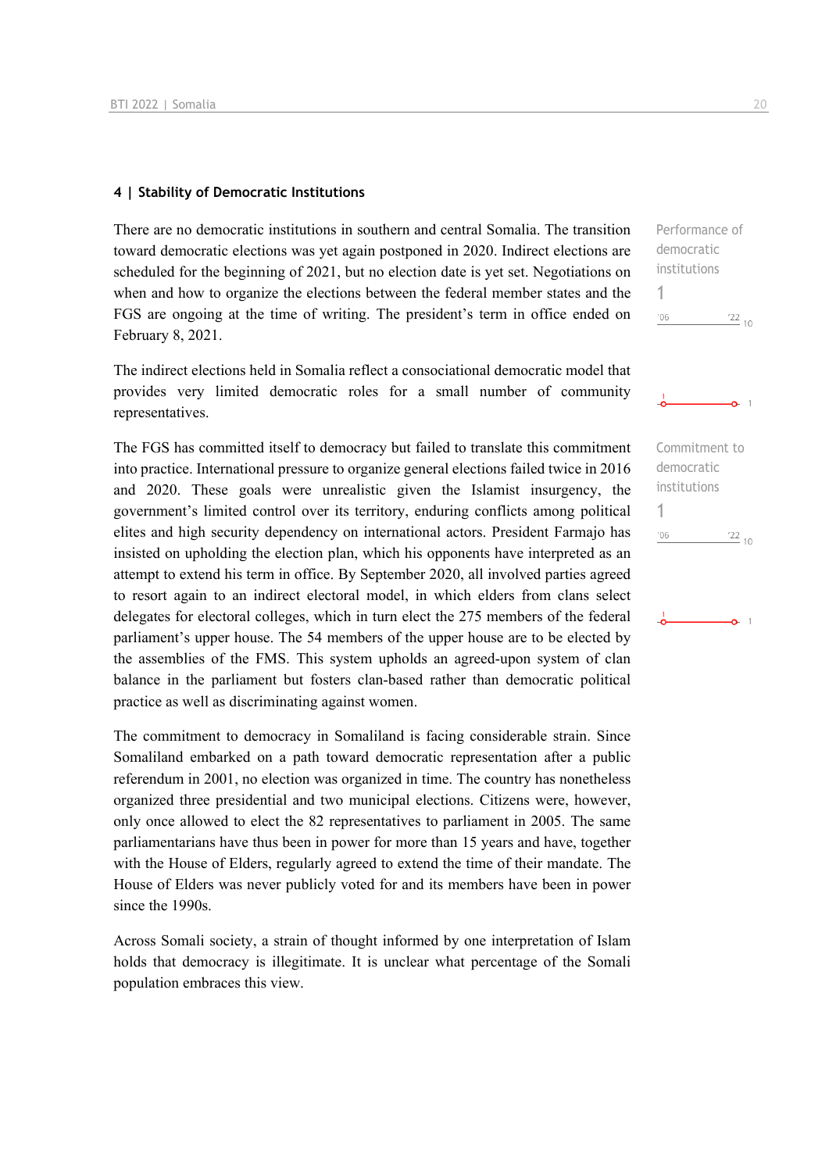### **4 | Stability of Democratic Institutions**

There are no democratic institutions in southern and central Somalia. The transition toward democratic elections was yet again postponed in 2020. Indirect elections are scheduled for the beginning of 2021, but no election date is yet set. Negotiations on when and how to organize the elections between the federal member states and the FGS are ongoing at the time of writing. The president's term in office ended on February 8, 2021.

The indirect elections held in Somalia reflect a consociational democratic model that provides very limited democratic roles for a small number of community representatives.

The FGS has committed itself to democracy but failed to translate this commitment into practice. International pressure to organize general elections failed twice in 2016 and 2020. These goals were unrealistic given the Islamist insurgency, the government's limited control over its territory, enduring conflicts among political elites and high security dependency on international actors. President Farmajo has insisted on upholding the election plan, which his opponents have interpreted as an attempt to extend his term in office. By September 2020, all involved parties agreed to resort again to an indirect electoral model, in which elders from clans select delegates for electoral colleges, which in turn elect the 275 members of the federal parliament's upper house. The 54 members of the upper house are to be elected by the assemblies of the FMS. This system upholds an agreed-upon system of clan balance in the parliament but fosters clan-based rather than democratic political practice as well as discriminating against women.

The commitment to democracy in Somaliland is facing considerable strain. Since Somaliland embarked on a path toward democratic representation after a public referendum in 2001, no election was organized in time. The country has nonetheless organized three presidential and two municipal elections. Citizens were, however, only once allowed to elect the 82 representatives to parliament in 2005. The same parliamentarians have thus been in power for more than 15 years and have, together with the House of Elders, regularly agreed to extend the time of their mandate. The House of Elders was never publicly voted for and its members have been in power since the 1990s.

Across Somali society, a strain of thought informed by one interpretation of Islam holds that democracy is illegitimate. It is unclear what percentage of the Somali population embraces this view.

Performance of democratic institutions

 $122_{10}$ 

 $\frac{22}{10}$ 

 $\alpha$  1

Commitment to democratic institutions

1

 $'06$ 

1

 $^{\prime}06$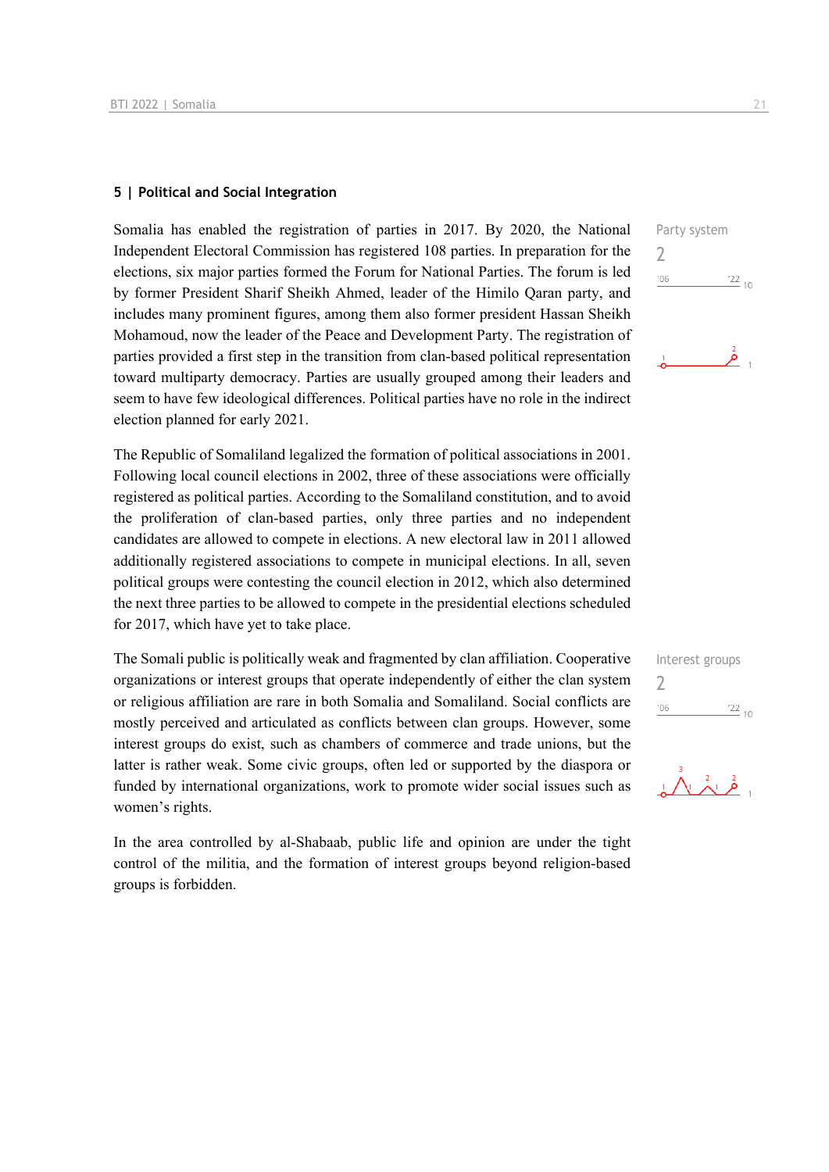### **5 | Political and Social Integration**

Somalia has enabled the registration of parties in 2017. By 2020, the National Independent Electoral Commission has registered 108 parties. In preparation for the elections, six major parties formed the Forum for National Parties. The forum is led by former President Sharif Sheikh Ahmed, leader of the Himilo Qaran party, and includes many prominent figures, among them also former president Hassan Sheikh Mohamoud, now the leader of the Peace and Development Party. The registration of parties provided a first step in the transition from clan-based political representation toward multiparty democracy. Parties are usually grouped among their leaders and seem to have few ideological differences. Political parties have no role in the indirect election planned for early 2021.

The Republic of Somaliland legalized the formation of political associations in 2001. Following local council elections in 2002, three of these associations were officially registered as political parties. According to the Somaliland constitution, and to avoid the proliferation of clan-based parties, only three parties and no independent candidates are allowed to compete in elections. A new electoral law in 2011 allowed additionally registered associations to compete in municipal elections. In all, seven political groups were contesting the council election in 2012, which also determined the next three parties to be allowed to compete in the presidential elections scheduled for 2017, which have yet to take place.

The Somali public is politically weak and fragmented by clan affiliation. Cooperative organizations or interest groups that operate independently of either the clan system or religious affiliation are rare in both Somalia and Somaliland. Social conflicts are mostly perceived and articulated as conflicts between clan groups. However, some interest groups do exist, such as chambers of commerce and trade unions, but the latter is rather weak. Some civic groups, often led or supported by the diaspora or funded by international organizations, work to promote wider social issues such as women's rights.

In the area controlled by al-Shabaab, public life and opinion are under the tight control of the militia, and the formation of interest groups beyond religion-based groups is forbidden.



| Interest groups |            |
|-----------------|------------|
|                 |            |
| '06             | $^{22}$ 10 |
|                 |            |

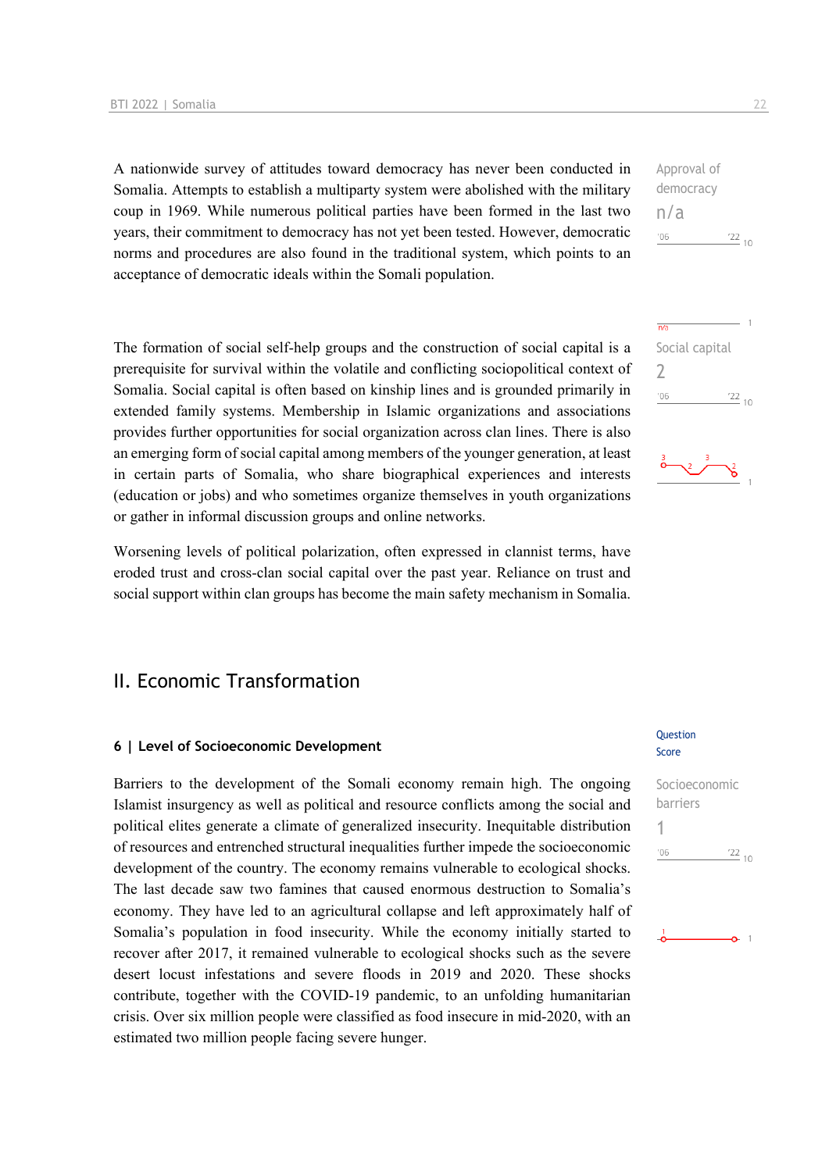A nationwide survey of attitudes toward democracy has never been conducted in Somalia. Attempts to establish a multiparty system were abolished with the military coup in 1969. While numerous political parties have been formed in the last two years, their commitment to democracy has not yet been tested. However, democratic norms and procedures are also found in the traditional system, which points to an acceptance of democratic ideals within the Somali population.

The formation of social self-help groups and the construction of social capital is a prerequisite for survival within the volatile and conflicting sociopolitical context of Somalia. Social capital is often based on kinship lines and is grounded primarily in extended family systems. Membership in Islamic organizations and associations provides further opportunities for social organization across clan lines. There is also an emerging form of social capital among members of the younger generation, at least in certain parts of Somalia, who share biographical experiences and interests (education or jobs) and who sometimes organize themselves in youth organizations or gather in informal discussion groups and online networks.

Worsening levels of political polarization, often expressed in clannist terms, have eroded trust and cross-clan social capital over the past year. Reliance on trust and social support within clan groups has become the main safety mechanism in Somalia.

### II. Economic Transformation

### **6 | Level of Socioeconomic Development**

Barriers to the development of the Somali economy remain high. The ongoing Islamist insurgency as well as political and resource conflicts among the social and political elites generate a climate of generalized insecurity. Inequitable distribution of resources and entrenched structural inequalities further impede the socioeconomic development of the country. The economy remains vulnerable to ecological shocks. The last decade saw two famines that caused enormous destruction to Somalia's economy. They have led to an agricultural collapse and left approximately half of Somalia's population in food insecurity. While the economy initially started to recover after 2017, it remained vulnerable to ecological shocks such as the severe desert locust infestations and severe floods in 2019 and 2020. These shocks contribute, together with the COVID-19 pandemic, to an unfolding humanitarian crisis. Over six million people were classified as food insecure in mid-2020, with an estimated two million people facing severe hunger.

#### Question Score

# Socioeconomic barriers 1 $\frac{22}{10}$  $106$

Approval of democracy n/a  $-06$  $\frac{22}{10}$ 



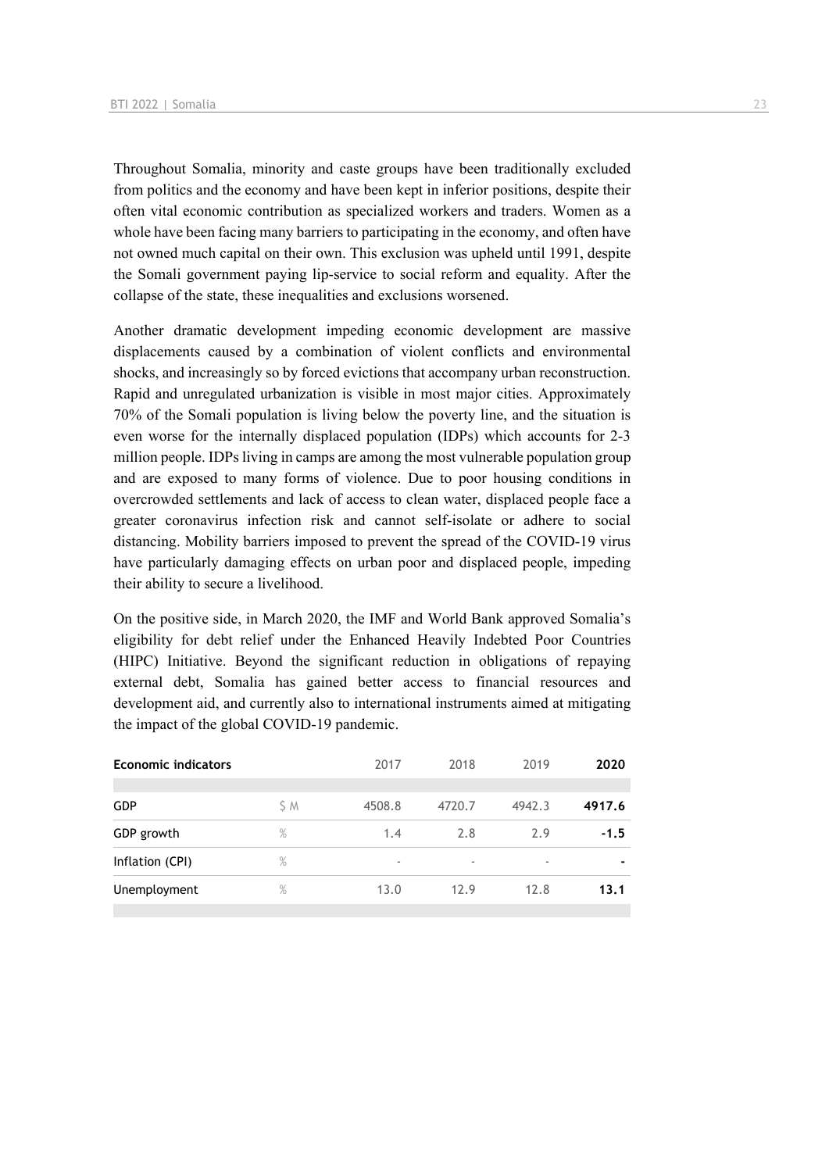Throughout Somalia, minority and caste groups have been traditionally excluded from politics and the economy and have been kept in inferior positions, despite their often vital economic contribution as specialized workers and traders. Women as a whole have been facing many barriers to participating in the economy, and often have not owned much capital on their own. This exclusion was upheld until 1991, despite the Somali government paying lip-service to social reform and equality. After the collapse of the state, these inequalities and exclusions worsened.

Another dramatic development impeding economic development are massive displacements caused by a combination of violent conflicts and environmental shocks, and increasingly so by forced evictions that accompany urban reconstruction. Rapid and unregulated urbanization is visible in most major cities. Approximately 70% of the Somali population is living below the poverty line, and the situation is even worse for the internally displaced population (IDPs) which accounts for 2-3 million people. IDPs living in camps are among the most vulnerable population group and are exposed to many forms of violence. Due to poor housing conditions in overcrowded settlements and lack of access to clean water, displaced people face a greater coronavirus infection risk and cannot self-isolate or adhere to social distancing. Mobility barriers imposed to prevent the spread of the COVID-19 virus have particularly damaging effects on urban poor and displaced people, impeding their ability to secure a livelihood.

On the positive side, in March 2020, the IMF and World Bank approved Somalia's eligibility for debt relief under the Enhanced Heavily Indebted Poor Countries (HIPC) Initiative. Beyond the significant reduction in obligations of repaying external debt, Somalia has gained better access to financial resources and development aid, and currently also to international instruments aimed at mitigating the impact of the global COVID-19 pandemic.

| <b>Economic indicators</b> |      | 2017   | 2018   | 2019   | 2020   |
|----------------------------|------|--------|--------|--------|--------|
|                            |      |        |        |        |        |
| <b>GDP</b>                 | S M  | 4508.8 | 4720.7 | 4942.3 | 4917.6 |
| GDP growth                 | $\%$ | 1.4    | 2.8    | 2.9    | $-1.5$ |
| Inflation (CPI)            | $\%$ | ٠      | ٠      | ٠      |        |
| Unemployment               | $\%$ | 13.0   | 12.9   | 12.8   | 13.1   |
|                            |      |        |        |        |        |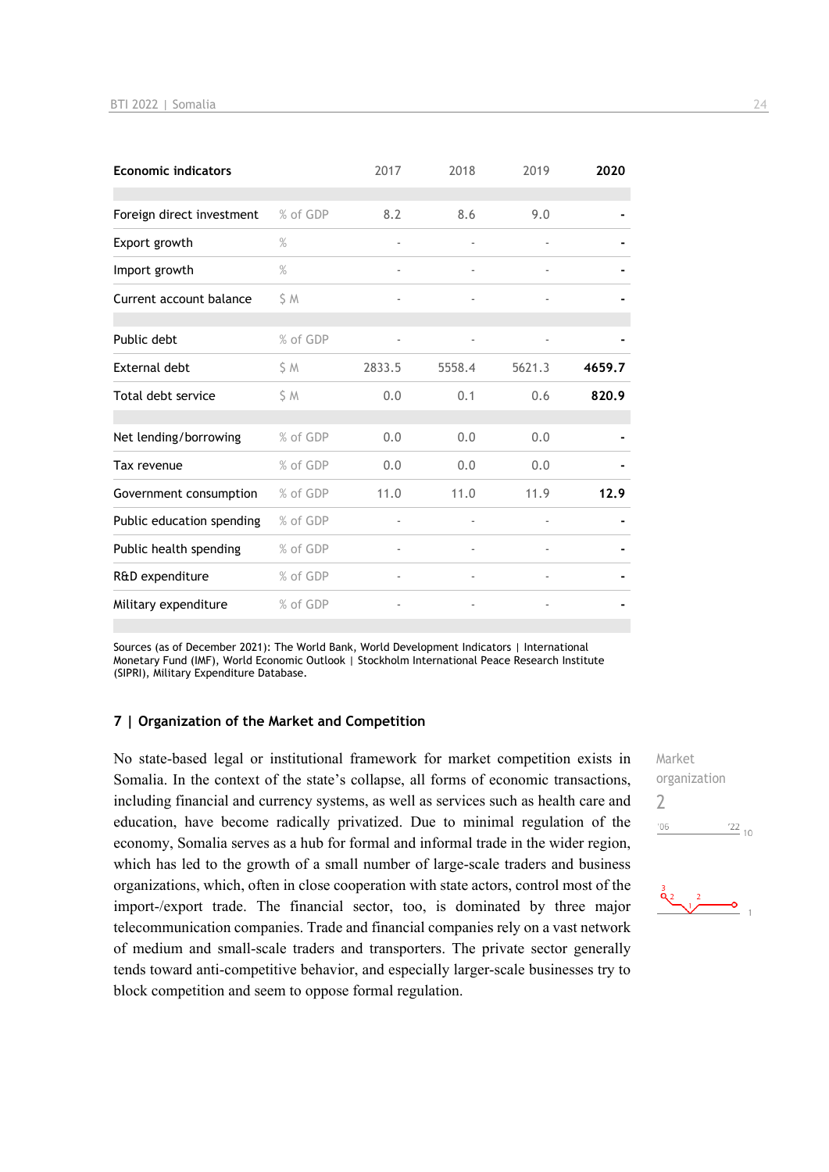| <b>Economic indicators</b> |          | 2017                     | 2018   | 2019                         | 2020   |
|----------------------------|----------|--------------------------|--------|------------------------------|--------|
| Foreign direct investment  | % of GDP | 8.2                      | 8.6    | 9.0                          |        |
| Export growth              | $\%$     |                          |        |                              |        |
| Import growth              | $\%$     | $\overline{\phantom{a}}$ |        | $\qquad \qquad \blacksquare$ |        |
| Current account balance    | S M      |                          |        |                              |        |
| Public debt                | % of GDP |                          |        |                              |        |
| <b>External debt</b>       | S M      | 2833.5                   | 5558.4 | 5621.3                       | 4659.7 |
| Total debt service         | S M      | 0.0                      | 0.1    | 0.6                          | 820.9  |
| Net lending/borrowing      | % of GDP | 0.0                      | 0.0    | 0.0                          |        |
| Tax revenue                | % of GDP | 0.0                      | 0.0    | 0.0                          |        |
| Government consumption     | % of GDP | 11.0                     | 11.0   | 11.9                         | 12.9   |
| Public education spending  | % of GDP |                          |        |                              |        |
| Public health spending     | % of GDP |                          |        |                              |        |
| R&D expenditure            | % of GDP |                          |        | $\bar{ }$                    |        |
| Military expenditure       | % of GDP |                          |        |                              |        |

Sources (as of December 2021): The World Bank, World Development Indicators | International Monetary Fund (IMF), World Economic Outlook | Stockholm International Peace Research Institute (SIPRI), Military Expenditure Database.

### **7 | Organization of the Market and Competition**

No state-based legal or institutional framework for market competition exists in Somalia. In the context of the state's collapse, all forms of economic transactions, including financial and currency systems, as well as services such as health care and education, have become radically privatized. Due to minimal regulation of the economy, Somalia serves as a hub for formal and informal trade in the wider region, which has led to the growth of a small number of large-scale traders and business organizations, which, often in close cooperation with state actors, control most of the import-/export trade. The financial sector, too, is dominated by three major telecommunication companies. Trade and financial companies rely on a vast network of medium and small-scale traders and transporters. The private sector generally tends toward anti-competitive behavior, and especially larger-scale businesses try to block competition and seem to oppose formal regulation.

Market organization  $\gamma$  $\frac{22}{10}$  $06'$ 

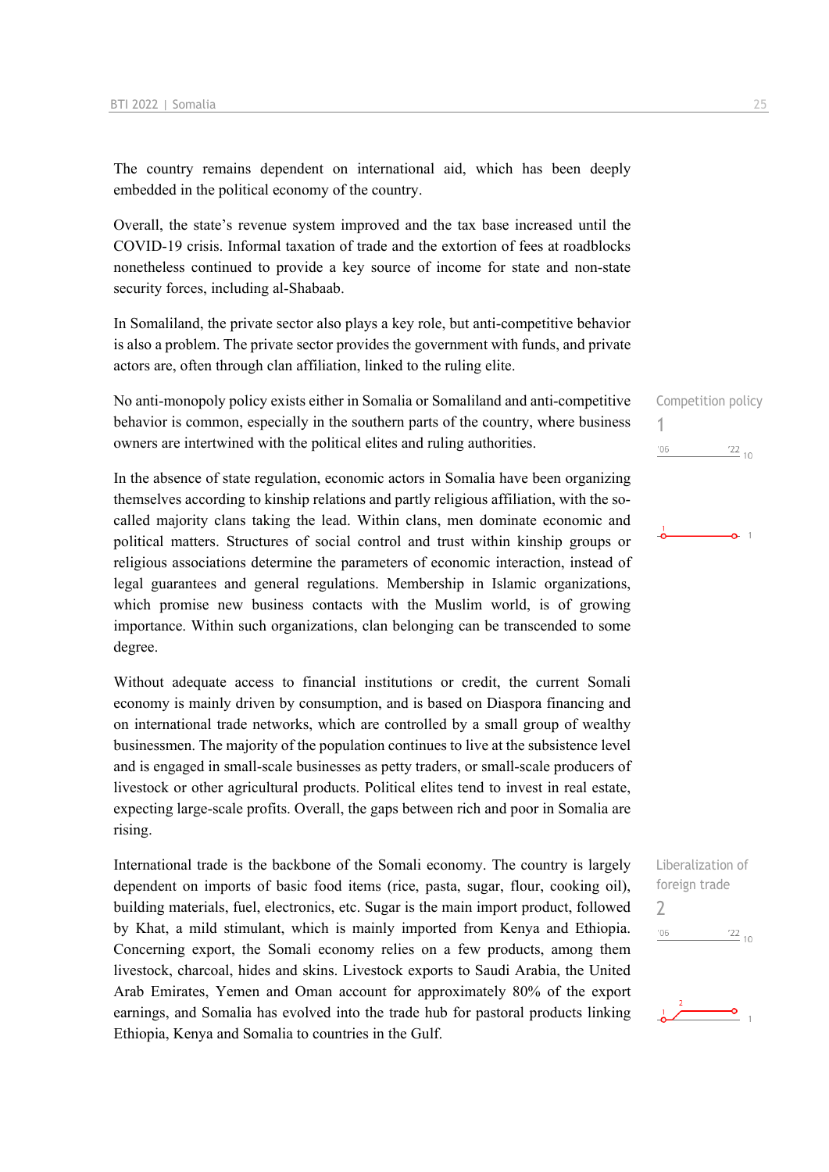The country remains dependent on international aid, which has been deeply embedded in the political economy of the country.

Overall, the state's revenue system improved and the tax base increased until the COVID-19 crisis. Informal taxation of trade and the extortion of fees at roadblocks nonetheless continued to provide a key source of income for state and non-state security forces, including al-Shabaab.

In Somaliland, the private sector also plays a key role, but anti-competitive behavior is also a problem. The private sector provides the government with funds, and private actors are, often through clan affiliation, linked to the ruling elite.

No anti-monopoly policy exists either in Somalia or Somaliland and anti-competitive behavior is common, especially in the southern parts of the country, where business owners are intertwined with the political elites and ruling authorities.

In the absence of state regulation, economic actors in Somalia have been organizing themselves according to kinship relations and partly religious affiliation, with the socalled majority clans taking the lead. Within clans, men dominate economic and political matters. Structures of social control and trust within kinship groups or religious associations determine the parameters of economic interaction, instead of legal guarantees and general regulations. Membership in Islamic organizations, which promise new business contacts with the Muslim world, is of growing importance. Within such organizations, clan belonging can be transcended to some degree.

Without adequate access to financial institutions or credit, the current Somali economy is mainly driven by consumption, and is based on Diaspora financing and on international trade networks, which are controlled by a small group of wealthy businessmen. The majority of the population continues to live at the subsistence level and is engaged in small-scale businesses as petty traders, or small-scale producers of livestock or other agricultural products. Political elites tend to invest in real estate, expecting large-scale profits. Overall, the gaps between rich and poor in Somalia are rising.

International trade is the backbone of the Somali economy. The country is largely dependent on imports of basic food items (rice, pasta, sugar, flour, cooking oil), building materials, fuel, electronics, etc. Sugar is the main import product, followed by Khat, a mild stimulant, which is mainly imported from Kenya and Ethiopia. Concerning export, the Somali economy relies on a few products, among them livestock, charcoal, hides and skins. Livestock exports to Saudi Arabia, the United Arab Emirates, Yemen and Oman account for approximately 80% of the export earnings, and Somalia has evolved into the trade hub for pastoral products linking Ethiopia, Kenya and Somalia to countries in the Gulf.

Competition policy 1  $\frac{22}{10}$  $'06$ 





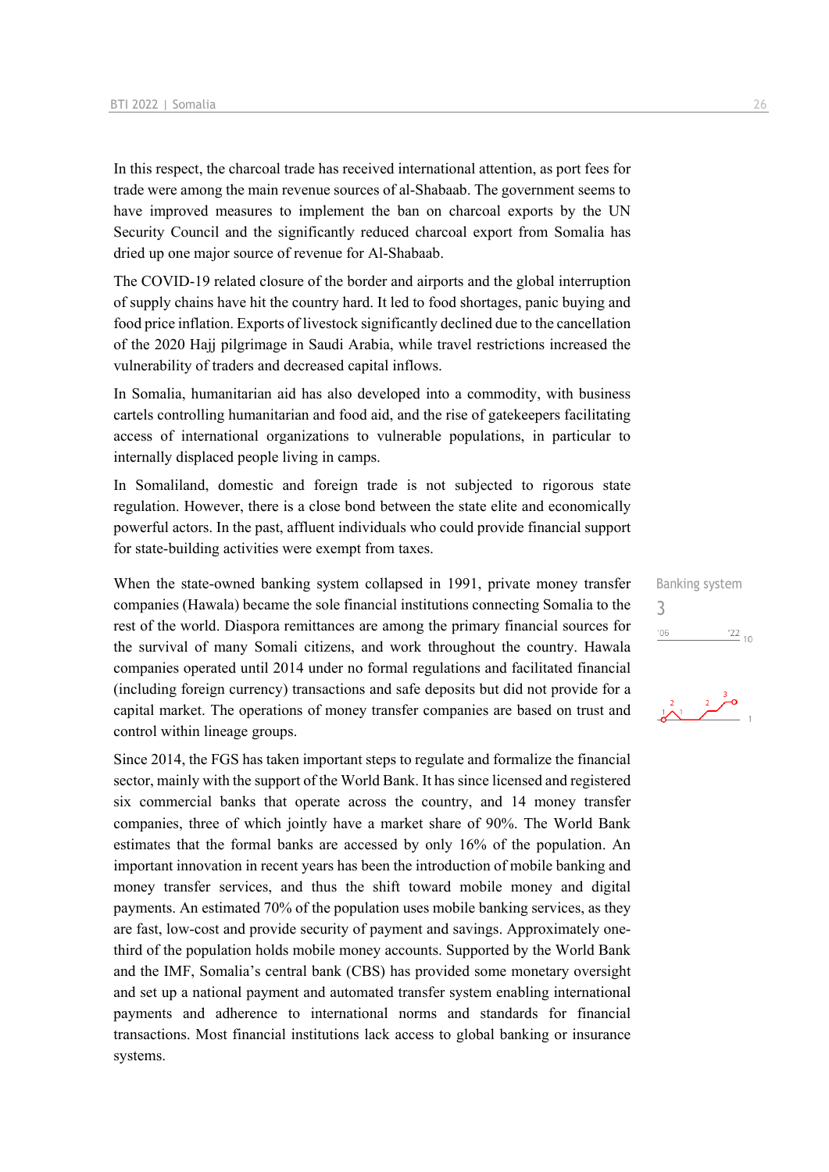In this respect, the charcoal trade has received international attention, as port fees for trade were among the main revenue sources of al-Shabaab. The government seems to have improved measures to implement the ban on charcoal exports by the UN Security Council and the significantly reduced charcoal export from Somalia has dried up one major source of revenue for Al-Shabaab.

The COVID-19 related closure of the border and airports and the global interruption of supply chains have hit the country hard. It led to food shortages, panic buying and food price inflation. Exports of livestock significantly declined due to the cancellation of the 2020 Hajj pilgrimage in Saudi Arabia, while travel restrictions increased the vulnerability of traders and decreased capital inflows.

In Somalia, humanitarian aid has also developed into a commodity, with business cartels controlling humanitarian and food aid, and the rise of gatekeepers facilitating access of international organizations to vulnerable populations, in particular to internally displaced people living in camps.

In Somaliland, domestic and foreign trade is not subjected to rigorous state regulation. However, there is a close bond between the state elite and economically powerful actors. In the past, affluent individuals who could provide financial support for state-building activities were exempt from taxes.

When the state-owned banking system collapsed in 1991, private money transfer companies (Hawala) became the sole financial institutions connecting Somalia to the rest of the world. Diaspora remittances are among the primary financial sources for the survival of many Somali citizens, and work throughout the country. Hawala companies operated until 2014 under no formal regulations and facilitated financial (including foreign currency) transactions and safe deposits but did not provide for a capital market. The operations of money transfer companies are based on trust and control within lineage groups.

Since 2014, the FGS has taken important steps to regulate and formalize the financial sector, mainly with the support of the World Bank. It has since licensed and registered six commercial banks that operate across the country, and 14 money transfer companies, three of which jointly have a market share of 90%. The World Bank estimates that the formal banks are accessed by only 16% of the population. An important innovation in recent years has been the introduction of mobile banking and money transfer services, and thus the shift toward mobile money and digital payments. An estimated 70% of the population uses mobile banking services, as they are fast, low-cost and provide security of payment and savings. Approximately onethird of the population holds mobile money accounts. Supported by the World Bank and the IMF, Somalia's central bank (CBS) has provided some monetary oversight and set up a national payment and automated transfer system enabling international payments and adherence to international norms and standards for financial transactions. Most financial institutions lack access to global banking or insurance systems.

Banking system 3 $'06$  $\frac{22}{10}$ 

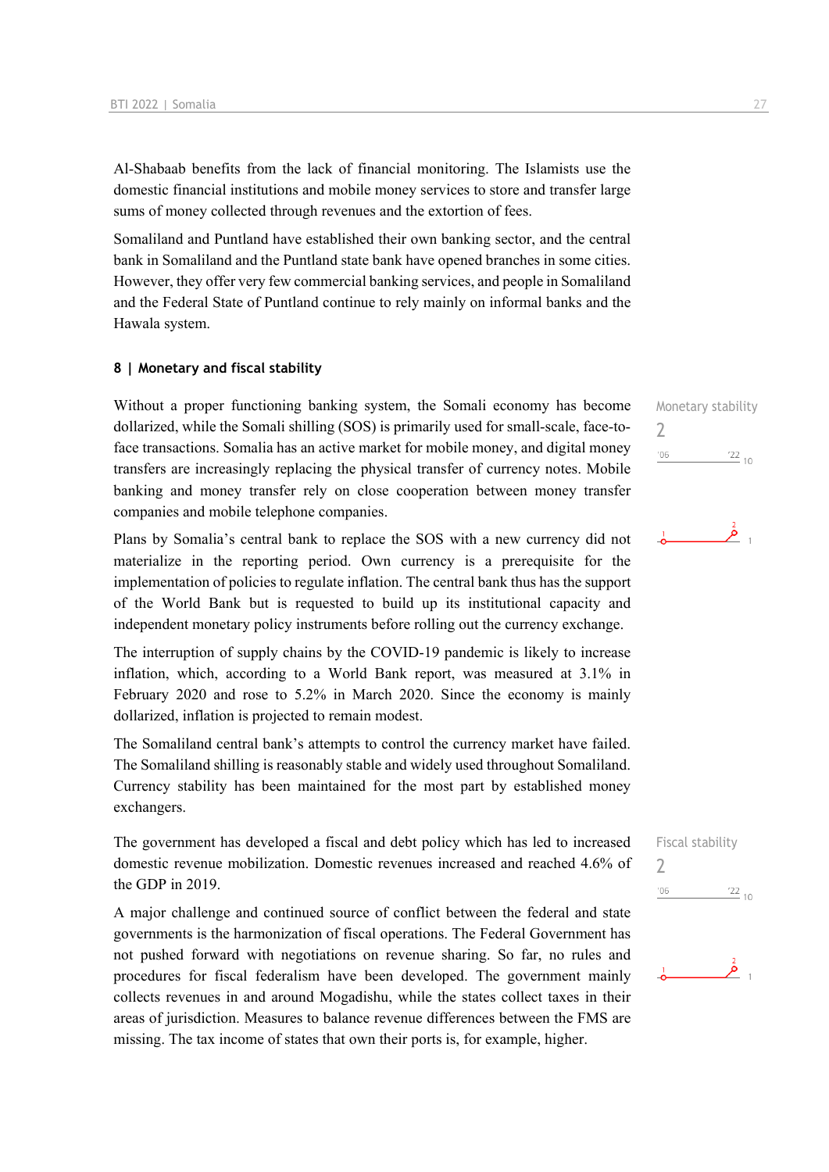Al-Shabaab benefits from the lack of financial monitoring. The Islamists use the domestic financial institutions and mobile money services to store and transfer large sums of money collected through revenues and the extortion of fees.

Somaliland and Puntland have established their own banking sector, and the central bank in Somaliland and the Puntland state bank have opened branches in some cities. However, they offer very few commercial banking services, and people in Somaliland and the Federal State of Puntland continue to rely mainly on informal banks and the Hawala system.

### **8 | Monetary and fiscal stability**

Without a proper functioning banking system, the Somali economy has become dollarized, while the Somali shilling (SOS) is primarily used for small-scale, face-toface transactions. Somalia has an active market for mobile money, and digital money transfers are increasingly replacing the physical transfer of currency notes. Mobile banking and money transfer rely on close cooperation between money transfer companies and mobile telephone companies.

Plans by Somalia's central bank to replace the SOS with a new currency did not materialize in the reporting period. Own currency is a prerequisite for the implementation of policies to regulate inflation. The central bank thus has the support of the World Bank but is requested to build up its institutional capacity and independent monetary policy instruments before rolling out the currency exchange.

The interruption of supply chains by the COVID-19 pandemic is likely to increase inflation, which, according to a World Bank report, was measured at 3.1% in February 2020 and rose to 5.2% in March 2020. Since the economy is mainly dollarized, inflation is projected to remain modest.

The Somaliland central bank's attempts to control the currency market have failed. The Somaliland shilling is reasonably stable and widely used throughout Somaliland. Currency stability has been maintained for the most part by established money exchangers.

The government has developed a fiscal and debt policy which has led to increased domestic revenue mobilization. Domestic revenues increased and reached 4.6% of the GDP in 2019.

A major challenge and continued source of conflict between the federal and state governments is the harmonization of fiscal operations. The Federal Government has not pushed forward with negotiations on revenue sharing. So far, no rules and procedures for fiscal federalism have been developed. The government mainly collects revenues in and around Mogadishu, while the states collect taxes in their areas of jurisdiction. Measures to balance revenue differences between the FMS are missing. The tax income of states that own their ports is, for example, higher.

Monetary stability  $\overline{\phantom{0}}$  $'06$  $\frac{22}{10}$ 

$$
\stackrel{1}{\bullet}
$$

Fiscal stability  $\overline{\phantom{0}}$  $^{\prime}06$  $\frac{22}{10}$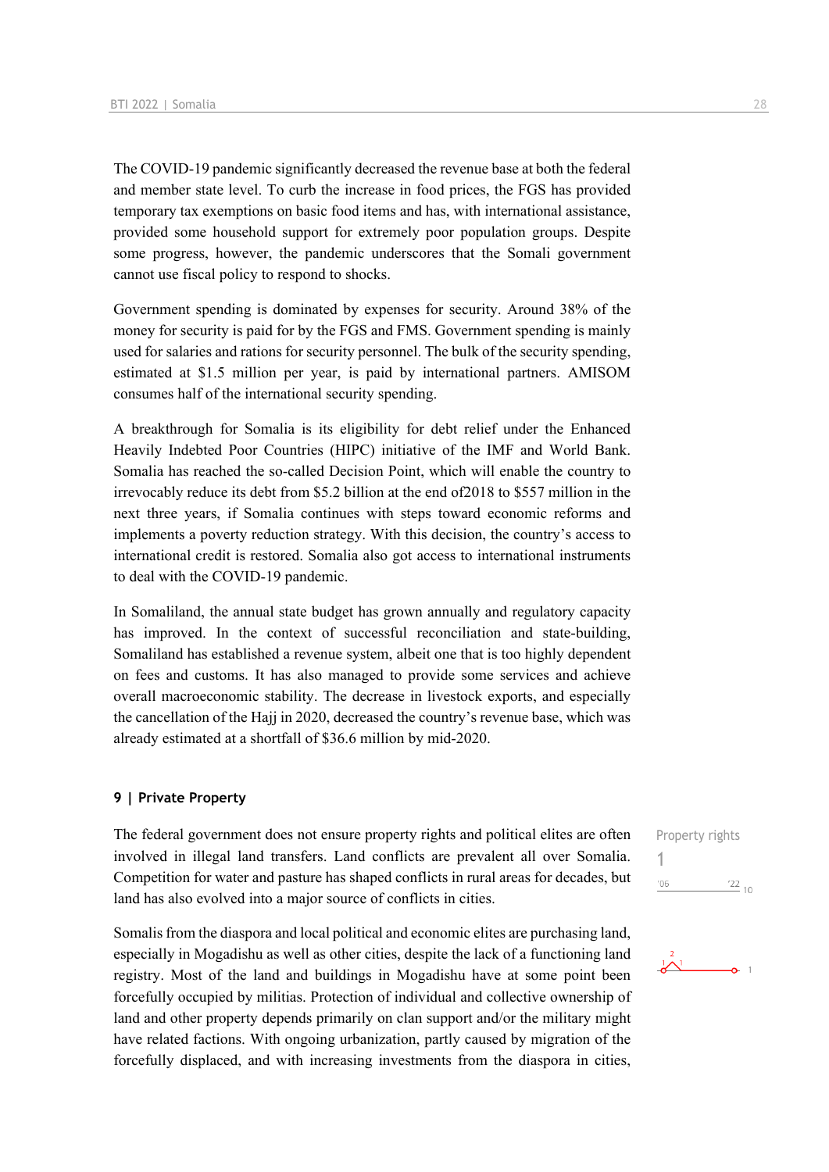The COVID-19 pandemic significantly decreased the revenue base at both the federal and member state level. To curb the increase in food prices, the FGS has provided temporary tax exemptions on basic food items and has, with international assistance, provided some household support for extremely poor population groups. Despite some progress, however, the pandemic underscores that the Somali government cannot use fiscal policy to respond to shocks.

Government spending is dominated by expenses for security. Around 38% of the money for security is paid for by the FGS and FMS. Government spending is mainly used for salaries and rations for security personnel. The bulk of the security spending, estimated at \$1.5 million per year, is paid by international partners. AMISOM consumes half of the international security spending.

A breakthrough for Somalia is its eligibility for debt relief under the Enhanced Heavily Indebted Poor Countries (HIPC) initiative of the IMF and World Bank. Somalia has reached the so-called Decision Point, which will enable the country to irrevocably reduce its debt from \$5.2 billion at the end of2018 to \$557 million in the next three years, if Somalia continues with steps toward economic reforms and implements a poverty reduction strategy. With this decision, the country's access to international credit is restored. Somalia also got access to international instruments to deal with the COVID-19 pandemic.

In Somaliland, the annual state budget has grown annually and regulatory capacity has improved. In the context of successful reconciliation and state-building, Somaliland has established a revenue system, albeit one that is too highly dependent on fees and customs. It has also managed to provide some services and achieve overall macroeconomic stability. The decrease in livestock exports, and especially the cancellation of the Hajj in 2020, decreased the country's revenue base, which was already estimated at a shortfall of \$36.6 million by mid-2020.

### **9 | Private Property**

The federal government does not ensure property rights and political elites are often involved in illegal land transfers. Land conflicts are prevalent all over Somalia. Competition for water and pasture has shaped conflicts in rural areas for decades, but land has also evolved into a major source of conflicts in cities.

Somalis from the diaspora and local political and economic elites are purchasing land, especially in Mogadishu as well as other cities, despite the lack of a functioning land registry. Most of the land and buildings in Mogadishu have at some point been forcefully occupied by militias. Protection of individual and collective ownership of land and other property depends primarily on clan support and/or the military might have related factions. With ongoing urbanization, partly caused by migration of the forcefully displaced, and with increasing investments from the diaspora in cities,

Property rights 1 $\frac{22}{10}$  $'06$ 

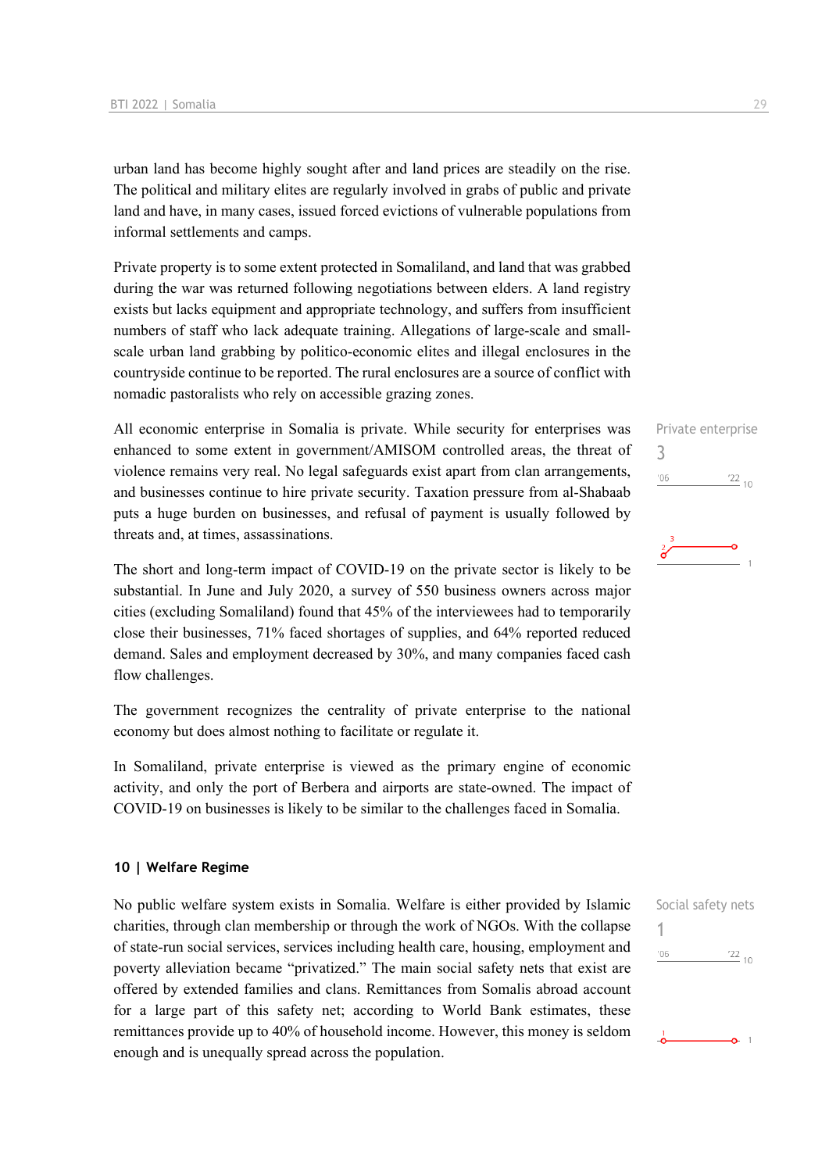urban land has become highly sought after and land prices are steadily on the rise. The political and military elites are regularly involved in grabs of public and private land and have, in many cases, issued forced evictions of vulnerable populations from informal settlements and camps.

Private property is to some extent protected in Somaliland, and land that was grabbed during the war was returned following negotiations between elders. A land registry exists but lacks equipment and appropriate technology, and suffers from insufficient numbers of staff who lack adequate training. Allegations of large-scale and smallscale urban land grabbing by politico-economic elites and illegal enclosures in the countryside continue to be reported. The rural enclosures are a source of conflict with nomadic pastoralists who rely on accessible grazing zones.

All economic enterprise in Somalia is private. While security for enterprises was enhanced to some extent in government/AMISOM controlled areas, the threat of violence remains very real. No legal safeguards exist apart from clan arrangements, and businesses continue to hire private security. Taxation pressure from al-Shabaab puts a huge burden on businesses, and refusal of payment is usually followed by threats and, at times, assassinations.

The short and long-term impact of COVID-19 on the private sector is likely to be substantial. In June and July 2020, a survey of 550 business owners across major cities (excluding Somaliland) found that 45% of the interviewees had to temporarily close their businesses, 71% faced shortages of supplies, and 64% reported reduced demand. Sales and employment decreased by 30%, and many companies faced cash flow challenges.

The government recognizes the centrality of private enterprise to the national economy but does almost nothing to facilitate or regulate it.

In Somaliland, private enterprise is viewed as the primary engine of economic activity, and only the port of Berbera and airports are state-owned. The impact of COVID-19 on businesses is likely to be similar to the challenges faced in Somalia.

### **10 | Welfare Regime**

No public welfare system exists in Somalia. Welfare is either provided by Islamic charities, through clan membership or through the work of NGOs. With the collapse of state-run social services, services including health care, housing, employment and poverty alleviation became "privatized." The main social safety nets that exist are offered by extended families and clans. Remittances from Somalis abroad account for a large part of this safety net; according to World Bank estimates, these remittances provide up to 40% of household income. However, this money is seldom enough and is unequally spread across the population.

| Social safety nets |  |
|--------------------|--|
|                    |  |



Private enterprise 3  $\frac{22}{10}$  $-06$ 

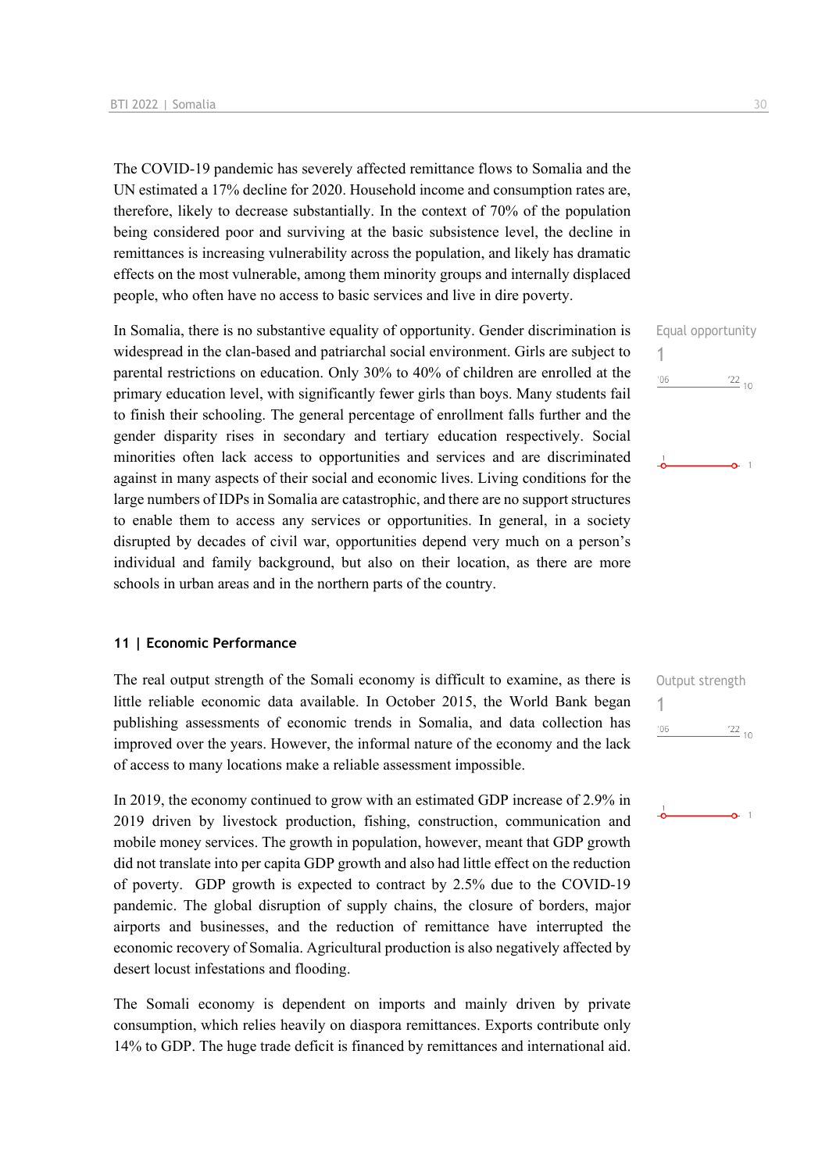The COVID-19 pandemic has severely affected remittance flows to Somalia and the UN estimated a 17% decline for 2020. Household income and consumption rates are, therefore, likely to decrease substantially. In the context of 70% of the population being considered poor and surviving at the basic subsistence level, the decline in remittances is increasing vulnerability across the population, and likely has dramatic effects on the most vulnerable, among them minority groups and internally displaced people, who often have no access to basic services and live in dire poverty.

In Somalia, there is no substantive equality of opportunity. Gender discrimination is widespread in the clan-based and patriarchal social environment. Girls are subject to parental restrictions on education. Only 30% to 40% of children are enrolled at the primary education level, with significantly fewer girls than boys. Many students fail to finish their schooling. The general percentage of enrollment falls further and the gender disparity rises in secondary and tertiary education respectively. Social minorities often lack access to opportunities and services and are discriminated against in many aspects of their social and economic lives. Living conditions for the large numbers of IDPs in Somalia are catastrophic, and there are no support structures to enable them to access any services or opportunities. In general, in a society disrupted by decades of civil war, opportunities depend very much on a person's individual and family background, but also on their location, as there are more schools in urban areas and in the northern parts of the country.

### **11 | Economic Performance**

The real output strength of the Somali economy is difficult to examine, as there is little reliable economic data available. In October 2015, the World Bank began publishing assessments of economic trends in Somalia, and data collection has improved over the years. However, the informal nature of the economy and the lack of access to many locations make a reliable assessment impossible.

In 2019, the economy continued to grow with an estimated GDP increase of 2.9% in 2019 driven by livestock production, fishing, construction, communication and mobile money services. The growth in population, however, meant that GDP growth did not translate into per capita GDP growth and also had little effect on the reduction of poverty. GDP growth is expected to contract by 2.5% due to the COVID-19 pandemic. The global disruption of supply chains, the closure of borders, major airports and businesses, and the reduction of remittance have interrupted the economic recovery of Somalia. Agricultural production is also negatively affected by desert locust infestations and flooding.

The Somali economy is dependent on imports and mainly driven by private consumption, which relies heavily on diaspora remittances. Exports contribute only 14% to GDP. The huge trade deficit is financed by remittances and international aid. Equal opportunity 1  $\frac{22}{10}$  $'06$ 

|     | Output strength |
|-----|-----------------|
|     |                 |
| '06 | $\frac{22}{10}$ |
|     |                 |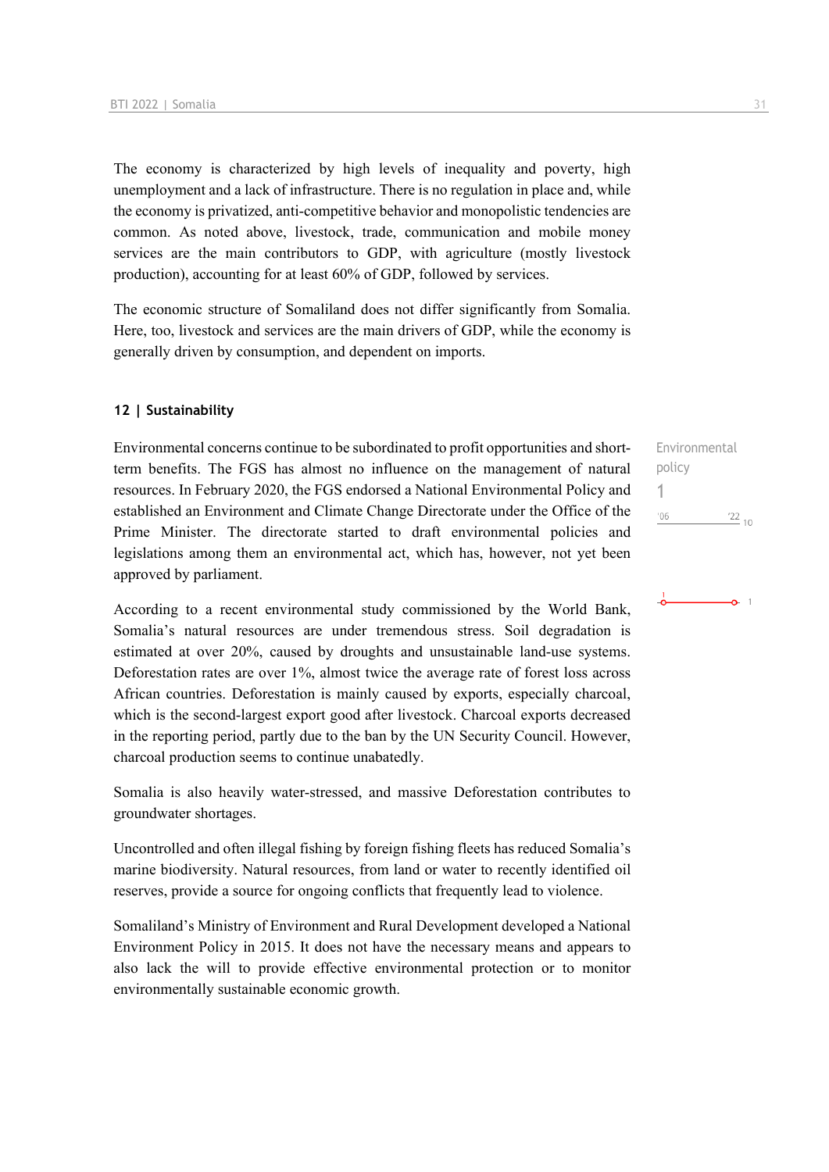The economy is characterized by high levels of inequality and poverty, high unemployment and a lack of infrastructure. There is no regulation in place and, while the economy is privatized, anti-competitive behavior and monopolistic tendencies are common. As noted above, livestock, trade, communication and mobile money services are the main contributors to GDP, with agriculture (mostly livestock production), accounting for at least 60% of GDP, followed by services.

The economic structure of Somaliland does not differ significantly from Somalia. Here, too, livestock and services are the main drivers of GDP, while the economy is generally driven by consumption, and dependent on imports.

### **12 | Sustainability**

Environmental concerns continue to be subordinated to profit opportunities and shortterm benefits. The FGS has almost no influence on the management of natural resources. In February 2020, the FGS endorsed a National Environmental Policy and established an Environment and Climate Change Directorate under the Office of the Prime Minister. The directorate started to draft environmental policies and legislations among them an environmental act, which has, however, not yet been approved by parliament.

According to a recent environmental study commissioned by the World Bank, Somalia's natural resources are under tremendous stress. Soil degradation is estimated at over 20%, caused by droughts and unsustainable land-use systems. Deforestation rates are over 1%, almost twice the average rate of forest loss across African countries. Deforestation is mainly caused by exports, especially charcoal, which is the second-largest export good after livestock. Charcoal exports decreased in the reporting period, partly due to the ban by the UN Security Council. However, charcoal production seems to continue unabatedly.

Somalia is also heavily water-stressed, and massive Deforestation contributes to groundwater shortages.

Uncontrolled and often illegal fishing by foreign fishing fleets has reduced Somalia's marine biodiversity. Natural resources, from land or water to recently identified oil reserves, provide a source for ongoing conflicts that frequently lead to violence.

Somaliland's Ministry of Environment and Rural Development developed a National Environment Policy in 2015. It does not have the necessary means and appears to also lack the will to provide effective environmental protection or to monitor environmentally sustainable economic growth.

Environmental policy 1 $106$  $\frac{22}{10}$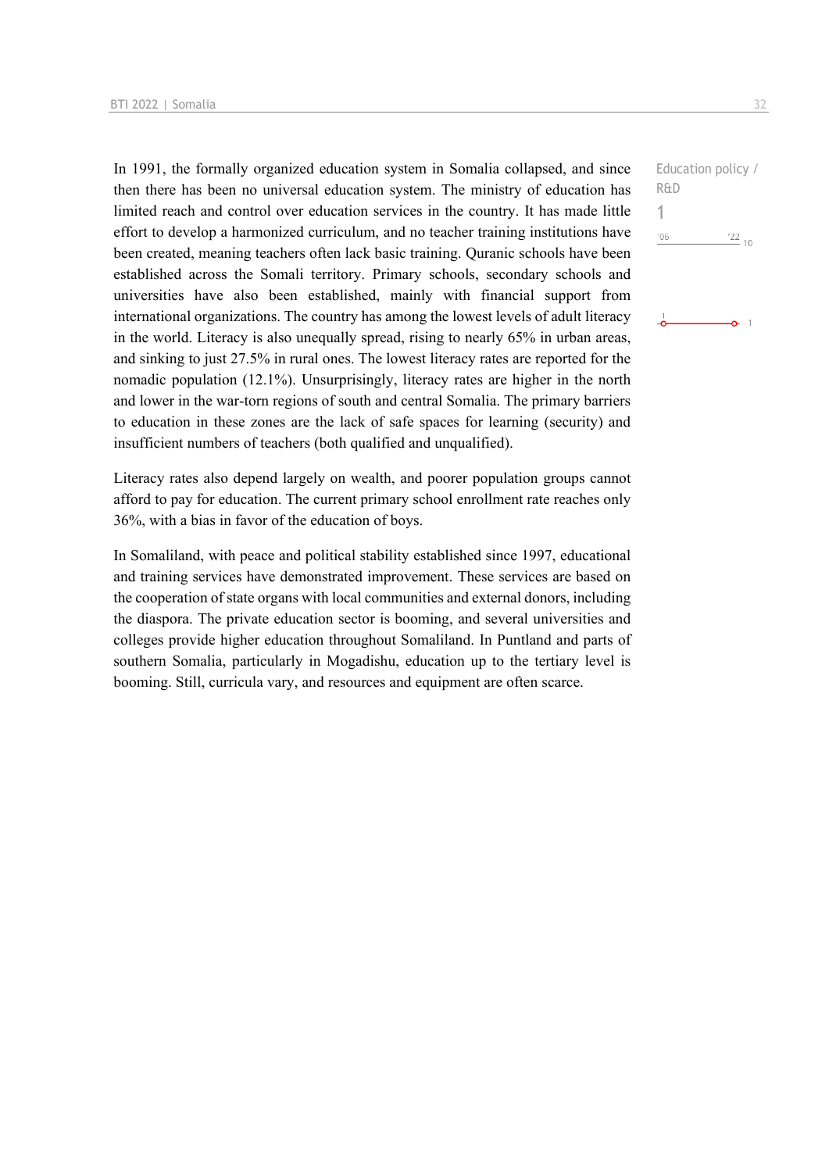In 1991, the formally organized education system in Somalia collapsed, and since then there has been no universal education system. The ministry of education has limited reach and control over education services in the country. It has made little effort to develop a harmonized curriculum, and no teacher training institutions have been created, meaning teachers often lack basic training. Quranic schools have been established across the Somali territory. Primary schools, secondary schools and universities have also been established, mainly with financial support from international organizations. The country has among the lowest levels of adult literacy in the world. Literacy is also unequally spread, rising to nearly 65% in urban areas, and sinking to just 27.5% in rural ones. The lowest literacy rates are reported for the nomadic population (12.1%). Unsurprisingly, literacy rates are higher in the north and lower in the war-torn regions of south and central Somalia. The primary barriers to education in these zones are the lack of safe spaces for learning (security) and insufficient numbers of teachers (both qualified and unqualified).

Literacy rates also depend largely on wealth, and poorer population groups cannot afford to pay for education. The current primary school enrollment rate reaches only 36%, with a bias in favor of the education of boys.

In Somaliland, with peace and political stability established since 1997, educational and training services have demonstrated improvement. These services are based on the cooperation of state organs with local communities and external donors, including the diaspora. The private education sector is booming, and several universities and colleges provide higher education throughout Somaliland. In Puntland and parts of southern Somalia, particularly in Mogadishu, education up to the tertiary level is booming. Still, curricula vary, and resources and equipment are often scarce.

```
Education policy / 
R&D
106'\frac{22}{10}
```
 $\Omega$  1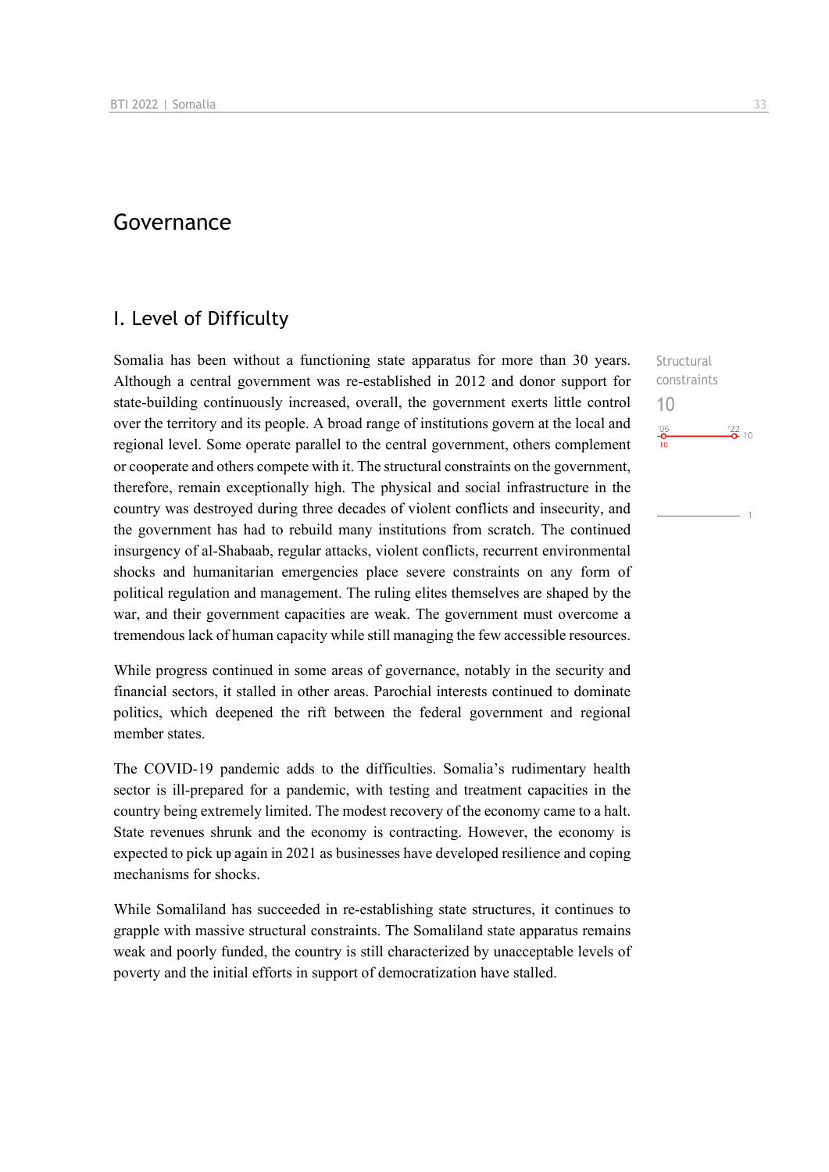# Governance

### I. Level of Difficulty

Somalia has been without a functioning state apparatus for more than 30 years. Although a central government was re-established in 2012 and donor support for state-building continuously increased, overall, the government exerts little control over the territory and its people. A broad range of institutions govern at the local and regional level. Some operate parallel to the central government, others complement or cooperate and others compete with it. The structural constraints on the government, therefore, remain exceptionally high. The physical and social infrastructure in the country was destroyed during three decades of violent conflicts and insecurity, and the government has had to rebuild many institutions from scratch. The continued insurgency of al-Shabaab, regular attacks, violent conflicts, recurrent environmental shocks and humanitarian emergencies place severe constraints on any form of political regulation and management. The ruling elites themselves are shaped by the war, and their government capacities are weak. The government must overcome a tremendous lack of human capacity while still managing the few accessible resources.

While progress continued in some areas of governance, notably in the security and financial sectors, it stalled in other areas. Parochial interests continued to dominate politics, which deepened the rift between the federal government and regional member states.

The COVID-19 pandemic adds to the difficulties. Somalia's rudimentary health sector is ill-prepared for a pandemic, with testing and treatment capacities in the country being extremely limited. The modest recovery of the economy came to a halt. State revenues shrunk and the economy is contracting. However, the economy is expected to pick up again in 2021 as businesses have developed resilience and coping mechanisms for shocks.

While Somaliland has succeeded in re-establishing state structures, it continues to grapple with massive structural constraints. The Somaliland state apparatus remains weak and poorly funded, the country is still characterized by unacceptable levels of poverty and the initial efforts in support of democratization have stalled.

Structural constraints 10 $\frac{106}{10}$  $\frac{22}{2}$  10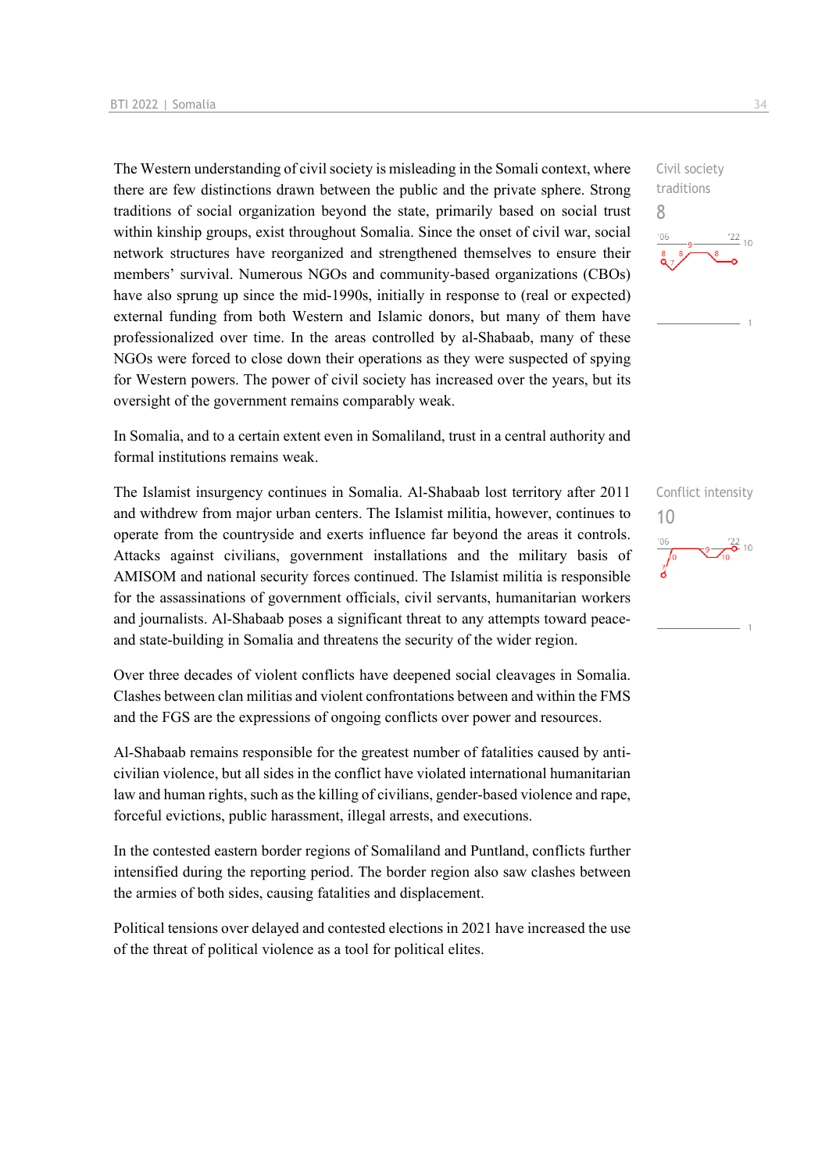The Western understanding of civil society is misleading in the Somali context, where there are few distinctions drawn between the public and the private sphere. Strong traditions of social organization beyond the state, primarily based on social trust within kinship groups, exist throughout Somalia. Since the onset of civil war, social network structures have reorganized and strengthened themselves to ensure their members' survival. Numerous NGOs and community-based organizations (CBOs) have also sprung up since the mid-1990s, initially in response to (real or expected) external funding from both Western and Islamic donors, but many of them have professionalized over time. In the areas controlled by al-Shabaab, many of these NGOs were forced to close down their operations as they were suspected of spying for Western powers. The power of civil society has increased over the years, but its oversight of the government remains comparably weak.

In Somalia, and to a certain extent even in Somaliland, trust in a central authority and formal institutions remains weak.

The Islamist insurgency continues in Somalia. Al-Shabaab lost territory after 2011 and withdrew from major urban centers. The Islamist militia, however, continues to operate from the countryside and exerts influence far beyond the areas it controls. Attacks against civilians, government installations and the military basis of AMISOM and national security forces continued. The Islamist militia is responsible for the assassinations of government officials, civil servants, humanitarian workers and journalists. Al-Shabaab poses a significant threat to any attempts toward peaceand state-building in Somalia and threatens the security of the wider region.

Over three decades of violent conflicts have deepened social cleavages in Somalia. Clashes between clan militias and violent confrontations between and within the FMS and the FGS are the expressions of ongoing conflicts over power and resources.

Al-Shabaab remains responsible for the greatest number of fatalities caused by anticivilian violence, but all sides in the conflict have violated international humanitarian law and human rights, such as the killing of civilians, gender-based violence and rape, forceful evictions, public harassment, illegal arrests, and executions.

In the contested eastern border regions of Somaliland and Puntland, conflicts further intensified during the reporting period. The border region also saw clashes between the armies of both sides, causing fatalities and displacement.

Political tensions over delayed and contested elections in 2021 have increased the use of the threat of political violence as a tool for political elites.

Civil society traditions 8  $\frac{22}{10}$ 

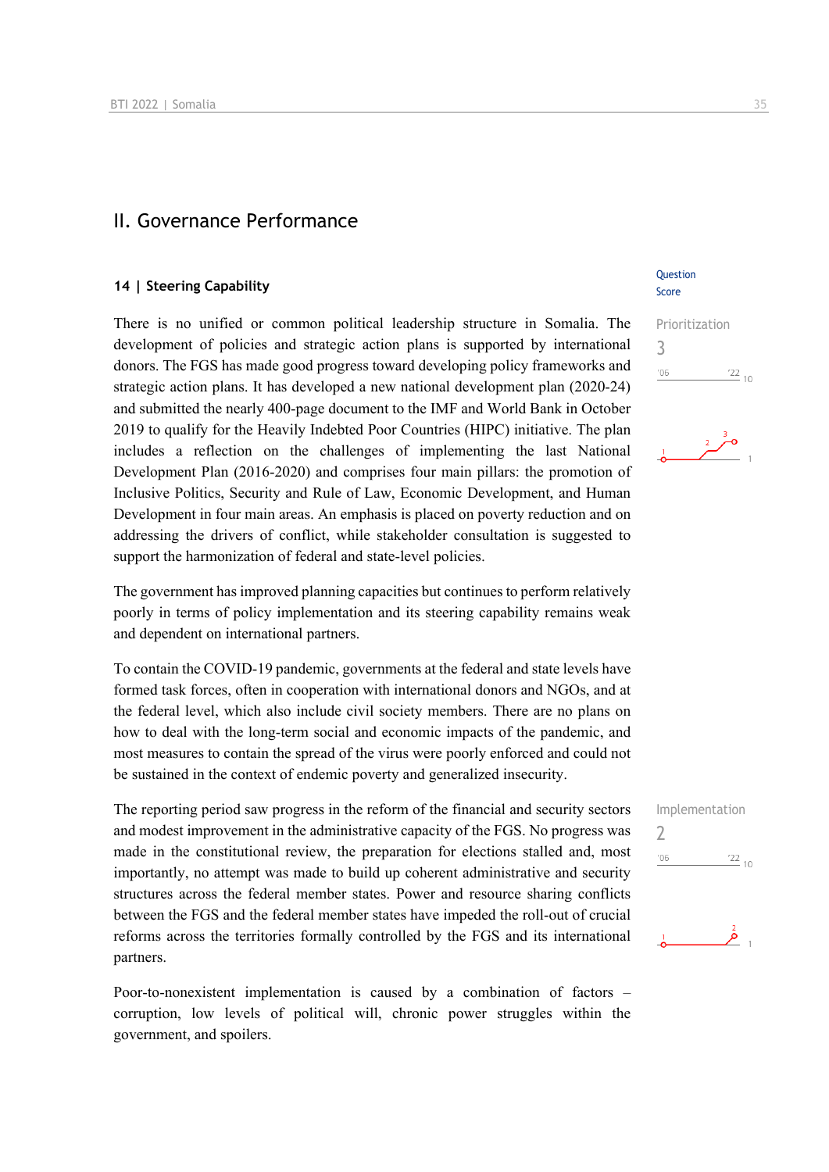### II. Governance Performance

### **14 | Steering Capability**

There is no unified or common political leadership structure in Somalia. The development of policies and strategic action plans is supported by international donors. The FGS has made good progress toward developing policy frameworks and strategic action plans. It has developed a new national development plan (2020-24) and submitted the nearly 400-page document to the IMF and World Bank in October 2019 to qualify for the Heavily Indebted Poor Countries (HIPC) initiative. The plan includes a reflection on the challenges of implementing the last National Development Plan (2016-2020) and comprises four main pillars: the promotion of Inclusive Politics, Security and Rule of Law, Economic Development, and Human Development in four main areas. An emphasis is placed on poverty reduction and on addressing the drivers of conflict, while stakeholder consultation is suggested to support the harmonization of federal and state-level policies.

The government has improved planning capacities but continues to perform relatively poorly in terms of policy implementation and its steering capability remains weak and dependent on international partners.

To contain the COVID-19 pandemic, governments at the federal and state levels have formed task forces, often in cooperation with international donors and NGOs, and at the federal level, which also include civil society members. There are no plans on how to deal with the long-term social and economic impacts of the pandemic, and most measures to contain the spread of the virus were poorly enforced and could not be sustained in the context of endemic poverty and generalized insecurity.

The reporting period saw progress in the reform of the financial and security sectors and modest improvement in the administrative capacity of the FGS. No progress was made in the constitutional review, the preparation for elections stalled and, most importantly, no attempt was made to build up coherent administrative and security structures across the federal member states. Power and resource sharing conflicts between the FGS and the federal member states have impeded the roll-out of crucial reforms across the territories formally controlled by the FGS and its international partners.

Poor-to-nonexistent implementation is caused by a combination of factors – corruption, low levels of political will, chronic power struggles within the government, and spoilers.

### **Ouestion** Score

Prioritization 3  $\frac{22}{10}$  $'06$ 

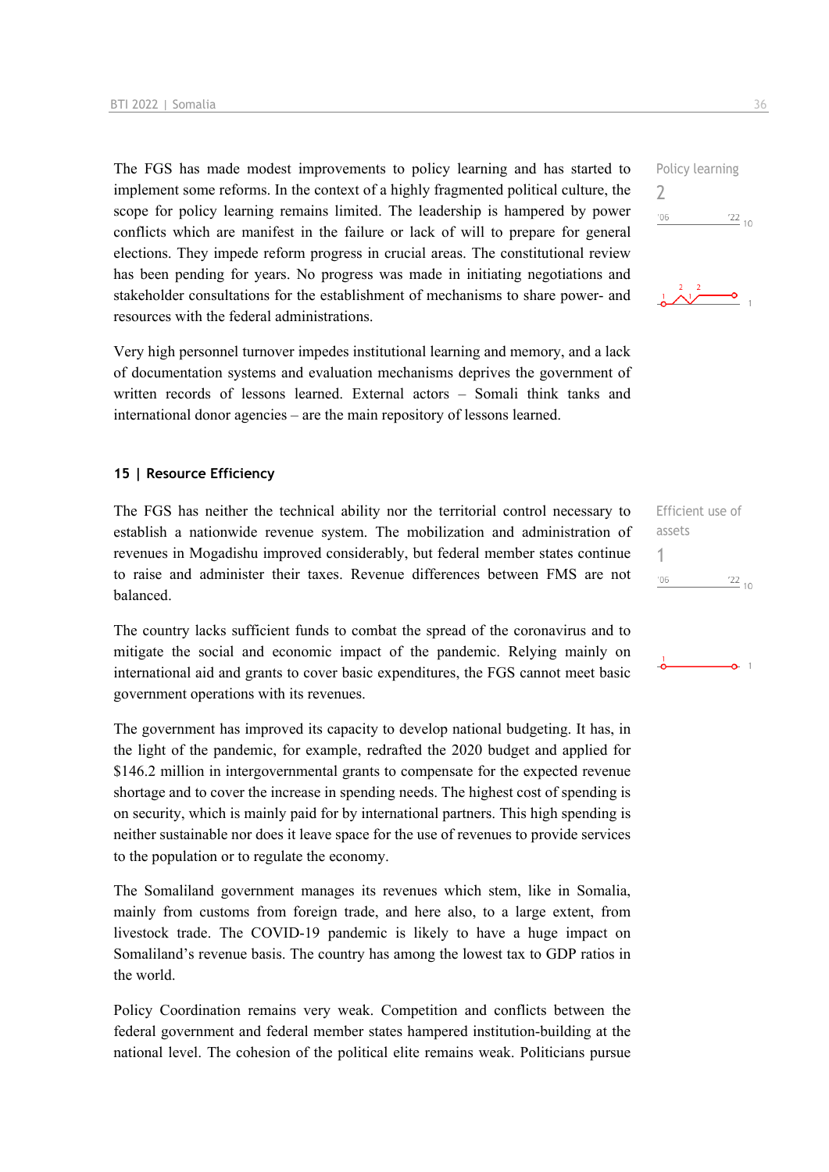The FGS has made modest improvements to policy learning and has started to implement some reforms. In the context of a highly fragmented political culture, the scope for policy learning remains limited. The leadership is hampered by power conflicts which are manifest in the failure or lack of will to prepare for general elections. They impede reform progress in crucial areas. The constitutional review has been pending for years. No progress was made in initiating negotiations and stakeholder consultations for the establishment of mechanisms to share power- and resources with the federal administrations.

Very high personnel turnover impedes institutional learning and memory, and a lack of documentation systems and evaluation mechanisms deprives the government of written records of lessons learned. External actors – Somali think tanks and international donor agencies – are the main repository of lessons learned.

### **15 | Resource Efficiency**

The FGS has neither the technical ability nor the territorial control necessary to establish a nationwide revenue system. The mobilization and administration of revenues in Mogadishu improved considerably, but federal member states continue to raise and administer their taxes. Revenue differences between FMS are not balanced.

The country lacks sufficient funds to combat the spread of the coronavirus and to mitigate the social and economic impact of the pandemic. Relying mainly on international aid and grants to cover basic expenditures, the FGS cannot meet basic government operations with its revenues.

The government has improved its capacity to develop national budgeting. It has, in the light of the pandemic, for example, redrafted the 2020 budget and applied for \$146.2 million in intergovernmental grants to compensate for the expected revenue shortage and to cover the increase in spending needs. The highest cost of spending is on security, which is mainly paid for by international partners. This high spending is neither sustainable nor does it leave space for the use of revenues to provide services to the population or to regulate the economy.

The Somaliland government manages its revenues which stem, like in Somalia, mainly from customs from foreign trade, and here also, to a large extent, from livestock trade. The COVID-19 pandemic is likely to have a huge impact on Somaliland's revenue basis. The country has among the lowest tax to GDP ratios in the world.

Policy Coordination remains very weak. Competition and conflicts between the federal government and federal member states hampered institution-building at the national level. The cohesion of the political elite remains weak. Politicians pursue





| Efficient use of |                       |
|------------------|-----------------------|
| assets           |                       |
|                  |                       |
| 106              | '22<br>1 <sup>C</sup> |
|                  |                       |

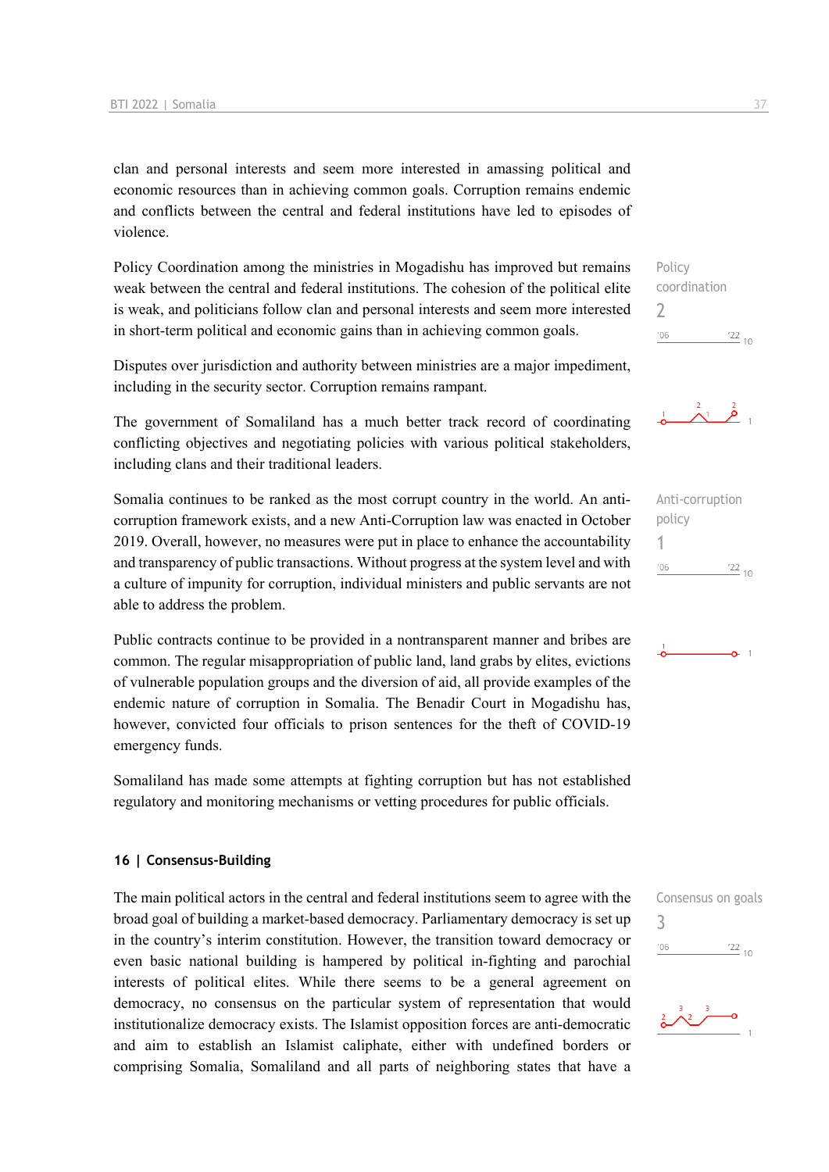clan and personal interests and seem more interested in amassing political and economic resources than in achieving common goals. Corruption remains endemic and conflicts between the central and federal institutions have led to episodes of violence.

Policy Coordination among the ministries in Mogadishu has improved but remains weak between the central and federal institutions. The cohesion of the political elite is weak, and politicians follow clan and personal interests and seem more interested in short-term political and economic gains than in achieving common goals.

Disputes over jurisdiction and authority between ministries are a major impediment, including in the security sector. Corruption remains rampant.

The government of Somaliland has a much better track record of coordinating conflicting objectives and negotiating policies with various political stakeholders, including clans and their traditional leaders.

Somalia continues to be ranked as the most corrupt country in the world. An anticorruption framework exists, and a new Anti-Corruption law was enacted in October 2019. Overall, however, no measures were put in place to enhance the accountability and transparency of public transactions. Without progress at the system level and with a culture of impunity for corruption, individual ministers and public servants are not able to address the problem.

Public contracts continue to be provided in a nontransparent manner and bribes are common. The regular misappropriation of public land, land grabs by elites, evictions of vulnerable population groups and the diversion of aid, all provide examples of the endemic nature of corruption in Somalia. The Benadir Court in Mogadishu has, however, convicted four officials to prison sentences for the theft of COVID-19 emergency funds.

Somaliland has made some attempts at fighting corruption but has not established regulatory and monitoring mechanisms or vetting procedures for public officials.

### **16 | Consensus-Building**

The main political actors in the central and federal institutions seem to agree with the broad goal of building a market-based democracy. Parliamentary democracy is set up in the country's interim constitution. However, the transition toward democracy or even basic national building is hampered by political in-fighting and parochial interests of political elites. While there seems to be a general agreement on democracy, no consensus on the particular system of representation that would institutionalize democracy exists. The Islamist opposition forces are anti-democratic and aim to establish an Islamist caliphate, either with undefined borders or comprising Somalia, Somaliland and all parts of neighboring states that have a

Policy coordination  $\overline{\phantom{0}}$  $\frac{22}{10}$  $-06$ 



Anti-corruption policy 1  $^{\prime}06$  $\frac{22}{10}$ 



Consensus on goals 3



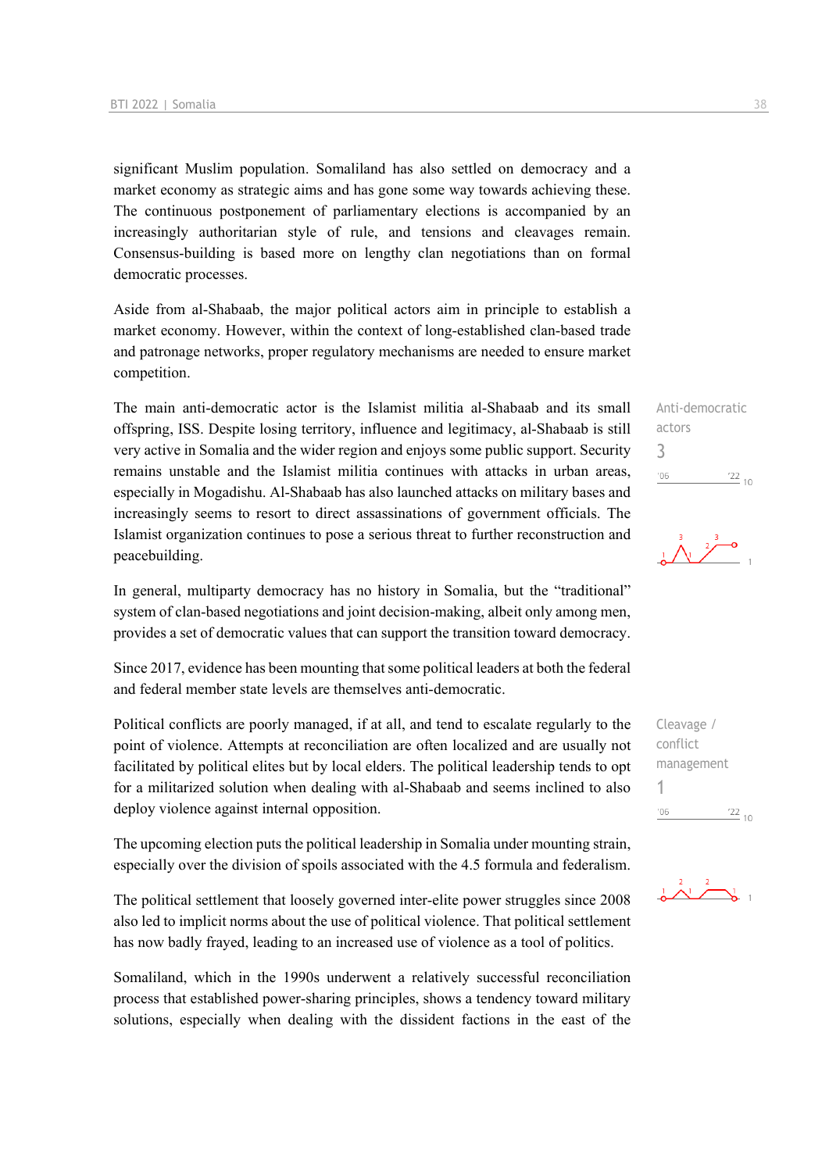significant Muslim population. Somaliland has also settled on democracy and a market economy as strategic aims and has gone some way towards achieving these. The continuous postponement of parliamentary elections is accompanied by an increasingly authoritarian style of rule, and tensions and cleavages remain. Consensus-building is based more on lengthy clan negotiations than on formal democratic processes.

Aside from al-Shabaab, the major political actors aim in principle to establish a market economy. However, within the context of long-established clan-based trade and patronage networks, proper regulatory mechanisms are needed to ensure market competition.

The main anti-democratic actor is the Islamist militia al-Shabaab and its small offspring, ISS. Despite losing territory, influence and legitimacy, al-Shabaab is still very active in Somalia and the wider region and enjoys some public support. Security remains unstable and the Islamist militia continues with attacks in urban areas, especially in Mogadishu. Al-Shabaab has also launched attacks on military bases and increasingly seems to resort to direct assassinations of government officials. The Islamist organization continues to pose a serious threat to further reconstruction and peacebuilding.

In general, multiparty democracy has no history in Somalia, but the "traditional" system of clan-based negotiations and joint decision-making, albeit only among men, provides a set of democratic values that can support the transition toward democracy.

Since 2017, evidence has been mounting that some political leaders at both the federal and federal member state levels are themselves anti-democratic.

Political conflicts are poorly managed, if at all, and tend to escalate regularly to the point of violence. Attempts at reconciliation are often localized and are usually not facilitated by political elites but by local elders. The political leadership tends to opt for a militarized solution when dealing with al-Shabaab and seems inclined to also deploy violence against internal opposition.

The upcoming election puts the political leadership in Somalia under mounting strain, especially over the division of spoils associated with the 4.5 formula and federalism.

The political settlement that loosely governed inter-elite power struggles since 2008 also led to implicit norms about the use of political violence. That political settlement has now badly frayed, leading to an increased use of violence as a tool of politics.

Somaliland, which in the 1990s underwent a relatively successful reconciliation process that established power-sharing principles, shows a tendency toward military solutions, especially when dealing with the dissident factions in the east of the

Anti-democratic actors 3  $'06$  $\frac{22}{10}$ 

Cleavage / conflict management 1 $-06$  $\frac{22}{10}$ 

 $\frac{2}{1}$   $\frac{2}{1}$   $\frac{2}{1}$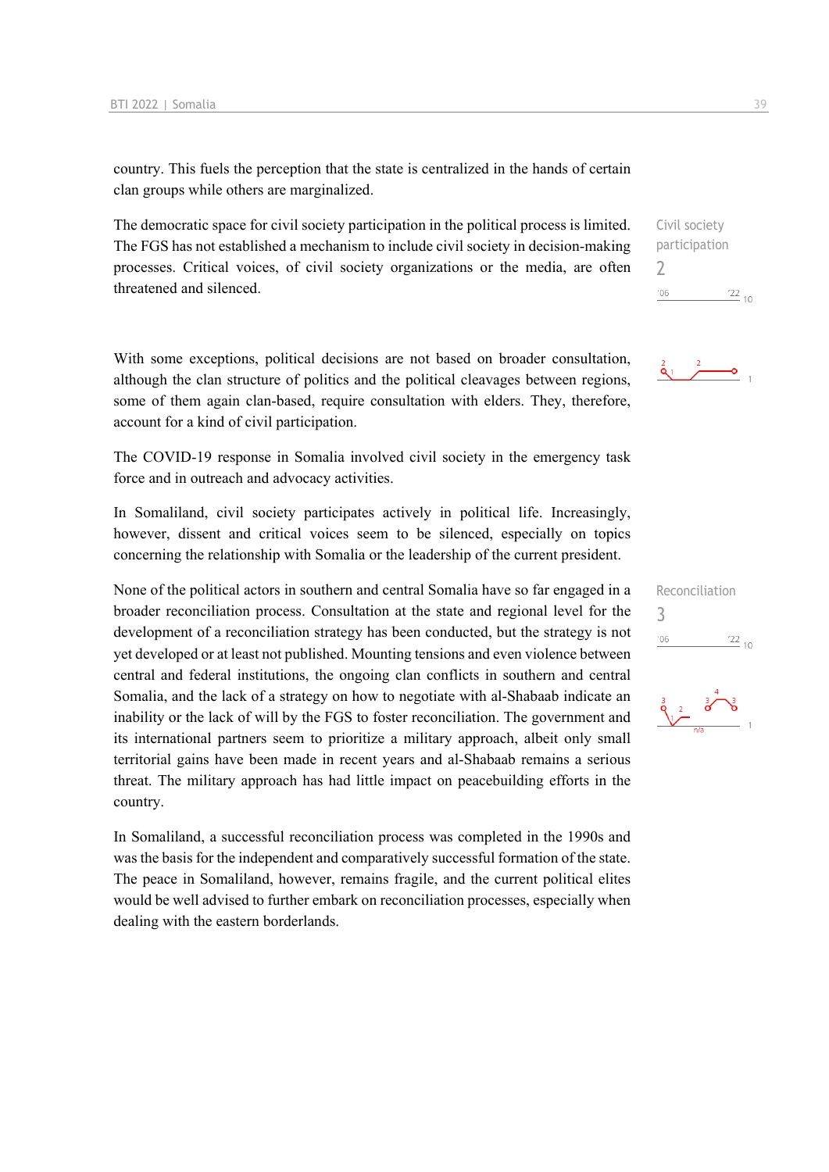country. This fuels the perception that the state is centralized in the hands of certain clan groups while others are marginalized.

The democratic space for civil society participation in the political process is limited. The FGS has not established a mechanism to include civil society in decision-making processes. Critical voices, of civil society organizations or the media, are often threatened and silenced.

With some exceptions, political decisions are not based on broader consultation, although the clan structure of politics and the political cleavages between regions, some of them again clan-based, require consultation with elders. They, therefore, account for a kind of civil participation.

The COVID-19 response in Somalia involved civil society in the emergency task force and in outreach and advocacy activities.

In Somaliland, civil society participates actively in political life. Increasingly, however, dissent and critical voices seem to be silenced, especially on topics concerning the relationship with Somalia or the leadership of the current president.

None of the political actors in southern and central Somalia have so far engaged in a broader reconciliation process. Consultation at the state and regional level for the development of a reconciliation strategy has been conducted, but the strategy is not yet developed or at least not published. Mounting tensions and even violence between central and federal institutions, the ongoing clan conflicts in southern and central Somalia, and the lack of a strategy on how to negotiate with al-Shabaab indicate an inability or the lack of will by the FGS to foster reconciliation. The government and its international partners seem to prioritize a military approach, albeit only small territorial gains have been made in recent years and al-Shabaab remains a serious threat. The military approach has had little impact on peacebuilding efforts in the country.

In Somaliland, a successful reconciliation process was completed in the 1990s and was the basis for the independent and comparatively successful formation of the state. The peace in Somaliland, however, remains fragile, and the current political elites would be well advised to further embark on reconciliation processes, especially when dealing with the eastern borderlands.

Civil society participation  $\overline{\phantom{0}}$  $\frac{22}{10}$  $'06$ 





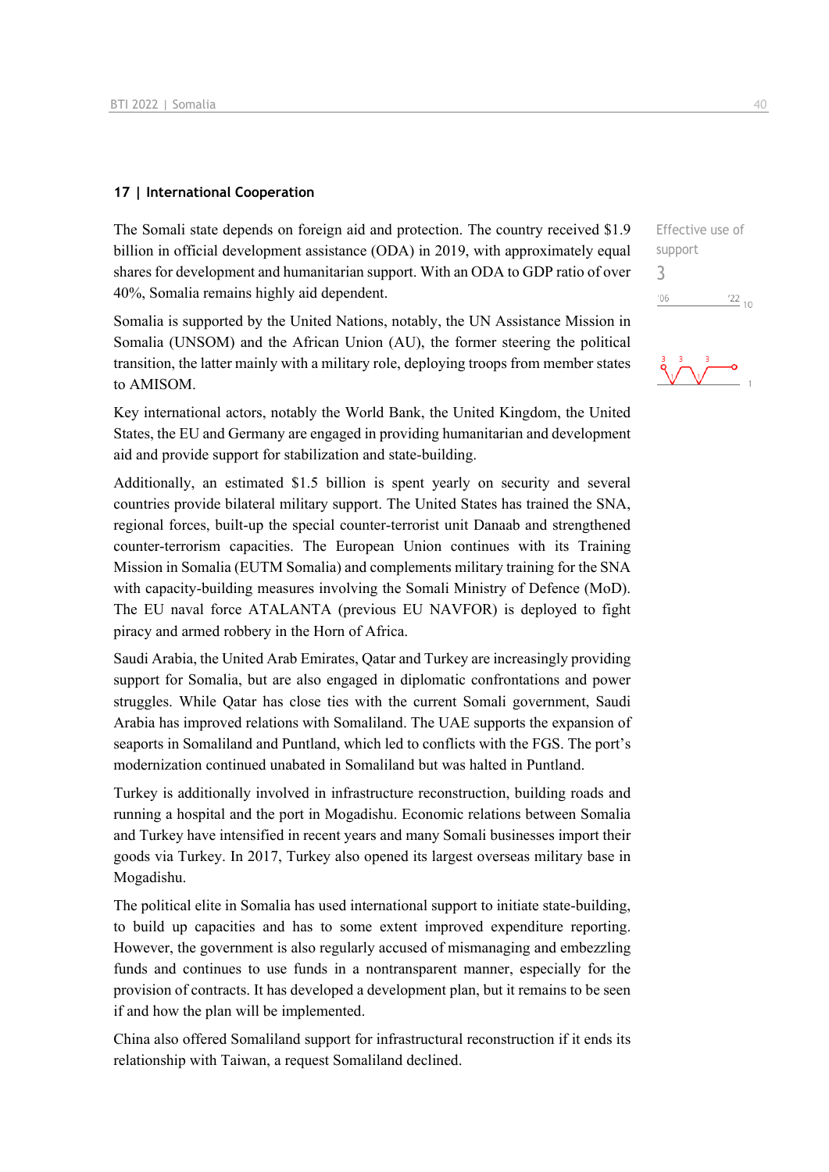### **17 | International Cooperation**

The Somali state depends on foreign aid and protection. The country received \$1.9 billion in official development assistance (ODA) in 2019, with approximately equal shares for development and humanitarian support. With an ODA to GDP ratio of over 40%, Somalia remains highly aid dependent.

Somalia is supported by the United Nations, notably, the UN Assistance Mission in Somalia (UNSOM) and the African Union (AU), the former steering the political transition, the latter mainly with a military role, deploying troops from member states to AMISOM.

Key international actors, notably the World Bank, the United Kingdom, the United States, the EU and Germany are engaged in providing humanitarian and development aid and provide support for stabilization and state-building.

Additionally, an estimated \$1.5 billion is spent yearly on security and several countries provide bilateral military support. The United States has trained the SNA, regional forces, built-up the special counter-terrorist unit Danaab and strengthened counter-terrorism capacities. The European Union continues with its Training Mission in Somalia (EUTM Somalia) and complements military training for the SNA with capacity-building measures involving the Somali Ministry of Defence (MoD). The EU naval force ATALANTA (previous EU NAVFOR) is deployed to fight piracy and armed robbery in the Horn of Africa.

Saudi Arabia, the United Arab Emirates, Qatar and Turkey are increasingly providing support for Somalia, but are also engaged in diplomatic confrontations and power struggles. While Qatar has close ties with the current Somali government, Saudi Arabia has improved relations with Somaliland. The UAE supports the expansion of seaports in Somaliland and Puntland, which led to conflicts with the FGS. The port's modernization continued unabated in Somaliland but was halted in Puntland.

Turkey is additionally involved in infrastructure reconstruction, building roads and running a hospital and the port in Mogadishu. Economic relations between Somalia and Turkey have intensified in recent years and many Somali businesses import their goods via Turkey. In 2017, Turkey also opened its largest overseas military base in Mogadishu.

The political elite in Somalia has used international support to initiate state-building, to build up capacities and has to some extent improved expenditure reporting. However, the government is also regularly accused of mismanaging and embezzling funds and continues to use funds in a nontransparent manner, especially for the provision of contracts. It has developed a development plan, but it remains to be seen if and how the plan will be implemented.

China also offered Somaliland support for infrastructural reconstruction if it ends its relationship with Taiwan, a request Somaliland declined.

Effective use of support 3 $06'$  $\frac{22}{10}$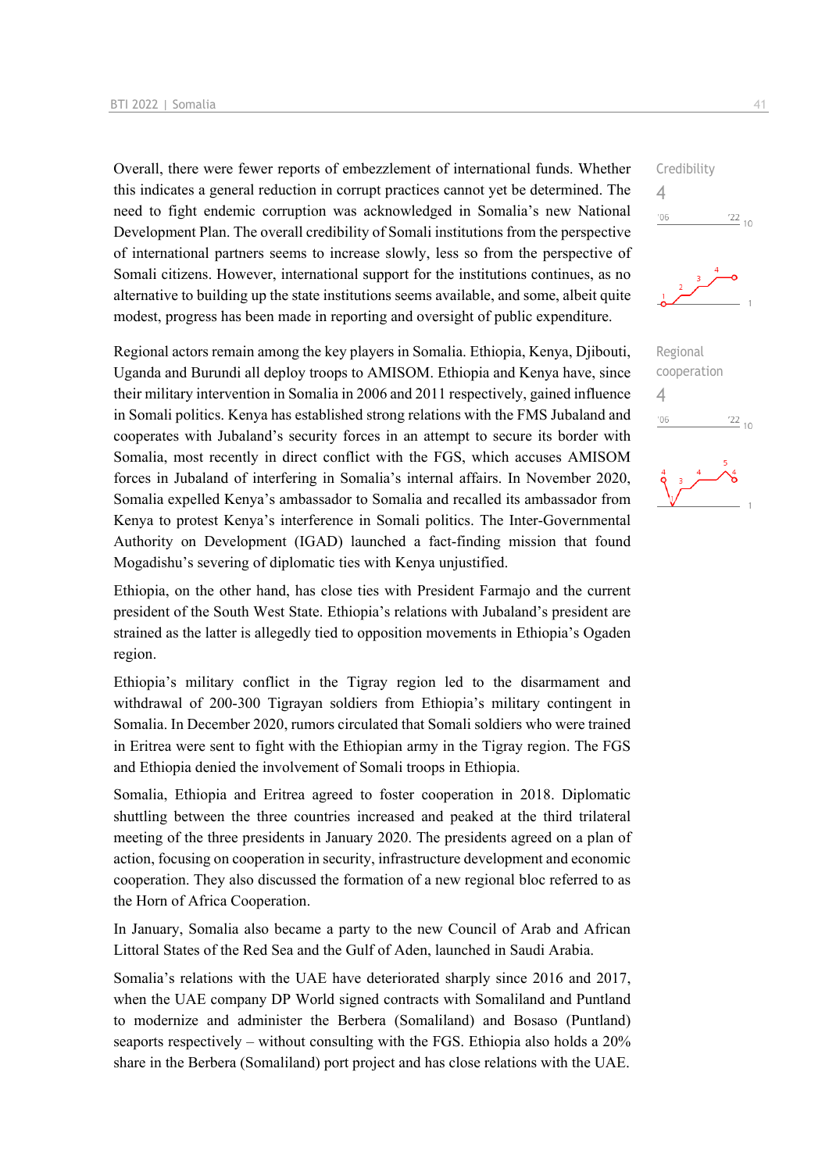Overall, there were fewer reports of embezzlement of international funds. Whether this indicates a general reduction in corrupt practices cannot yet be determined. The need to fight endemic corruption was acknowledged in Somalia's new National Development Plan. The overall credibility of Somali institutions from the perspective of international partners seems to increase slowly, less so from the perspective of Somali citizens. However, international support for the institutions continues, as no alternative to building up the state institutions seems available, and some, albeit quite modest, progress has been made in reporting and oversight of public expenditure.

Regional actors remain among the key players in Somalia. Ethiopia, Kenya, Djibouti, Uganda and Burundi all deploy troops to AMISOM. Ethiopia and Kenya have, since their military intervention in Somalia in 2006 and 2011 respectively, gained influence in Somali politics. Kenya has established strong relations with the FMS Jubaland and cooperates with Jubaland's security forces in an attempt to secure its border with Somalia, most recently in direct conflict with the FGS, which accuses AMISOM forces in Jubaland of interfering in Somalia's internal affairs. In November 2020, Somalia expelled Kenya's ambassador to Somalia and recalled its ambassador from Kenya to protest Kenya's interference in Somali politics. The Inter-Governmental Authority on Development (IGAD) launched a fact-finding mission that found Mogadishu's severing of diplomatic ties with Kenya unjustified.

Ethiopia, on the other hand, has close ties with President Farmajo and the current president of the South West State. Ethiopia's relations with Jubaland's president are strained as the latter is allegedly tied to opposition movements in Ethiopia's Ogaden region.

Ethiopia's military conflict in the Tigray region led to the disarmament and withdrawal of 200-300 Tigrayan soldiers from Ethiopia's military contingent in Somalia. In December 2020, rumors circulated that Somali soldiers who were trained in Eritrea were sent to fight with the Ethiopian army in the Tigray region. The FGS and Ethiopia denied the involvement of Somali troops in Ethiopia.

Somalia, Ethiopia and Eritrea agreed to foster cooperation in 2018. Diplomatic shuttling between the three countries increased and peaked at the third trilateral meeting of the three presidents in January 2020. The presidents agreed on a plan of action, focusing on cooperation in security, infrastructure development and economic cooperation. They also discussed the formation of a new regional bloc referred to as the Horn of Africa Cooperation.

In January, Somalia also became a party to the new Council of Arab and African Littoral States of the Red Sea and the Gulf of Aden, launched in Saudi Arabia.

Somalia's relations with the UAE have deteriorated sharply since 2016 and 2017, when the UAE company DP World signed contracts with Somaliland and Puntland to modernize and administer the Berbera (Somaliland) and Bosaso (Puntland) seaports respectively – without consulting with the FGS. Ethiopia also holds a 20% share in the Berbera (Somaliland) port project and has close relations with the UAE.

Credibility 4  $106$  $\frac{22}{10}$ 



| Regional    |            |  |
|-------------|------------|--|
| cooperation |            |  |
| 4           |            |  |
| '06         | $^{22}$ 10 |  |
|             |            |  |